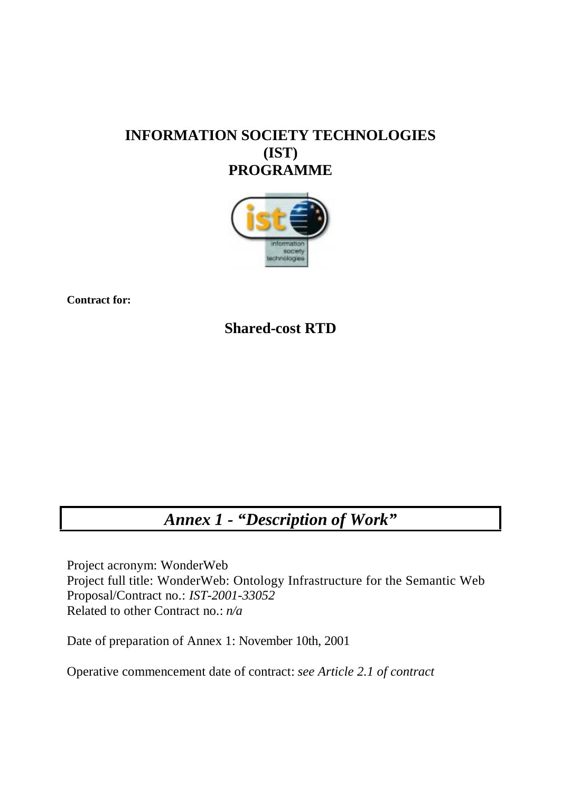# **INFORMATION SOCIETY TECHNOLOGIES (IST) PROGRAMME**



**Contract for:**

**Shared-cost RTD**

# *Annex 1 - "Description of Work"*

Project acronym: WonderWeb Project full title: WonderWeb: Ontology Infrastructure for the Semantic Web Proposal/Contract no.: *IST-2001-33052* Related to other Contract no.: *n/a*

Date of preparation of Annex 1: November 10th, 2001

Operative commencement date of contract: *see Article 2.1 of contract*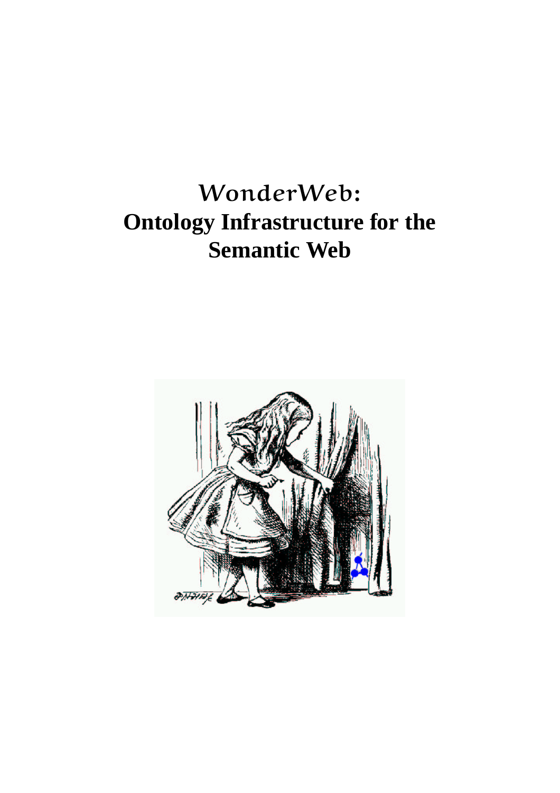# WonderWeb**: Ontology Infrastructure for the Semantic Web**

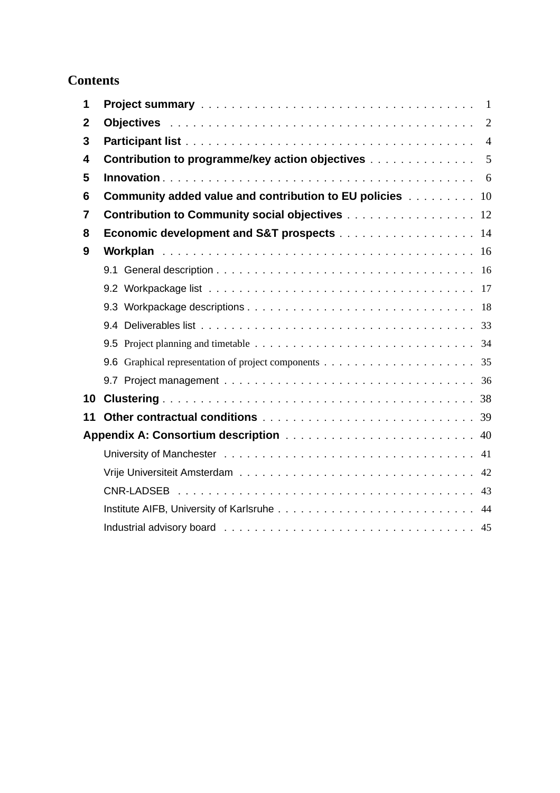# **Contents**

| 1              |                                                                                                                              |                |
|----------------|------------------------------------------------------------------------------------------------------------------------------|----------------|
| $\mathbf 2$    |                                                                                                                              | $\overline{2}$ |
| 3              |                                                                                                                              | $\overline{4}$ |
| 4              | <b>Contribution to programme/key action objectives Administration of the Contribution to programme/key action objectives</b> | 5              |
| 5              |                                                                                                                              |                |
| 6              | Community added value and contribution to EU policies 10                                                                     |                |
| $\overline{7}$ | <b>Contribution to Community social objectives</b> 12                                                                        |                |
| 8              | <b>Economic development and S&amp;T prospects</b> 14                                                                         |                |
| 9              |                                                                                                                              |                |
|                |                                                                                                                              |                |
|                |                                                                                                                              |                |
|                |                                                                                                                              |                |
|                |                                                                                                                              |                |
|                |                                                                                                                              |                |
|                |                                                                                                                              |                |
|                |                                                                                                                              |                |
| 10             |                                                                                                                              |                |
| 11             |                                                                                                                              |                |
|                |                                                                                                                              |                |
|                |                                                                                                                              |                |
|                |                                                                                                                              | 42             |
|                |                                                                                                                              |                |
|                |                                                                                                                              |                |
|                |                                                                                                                              |                |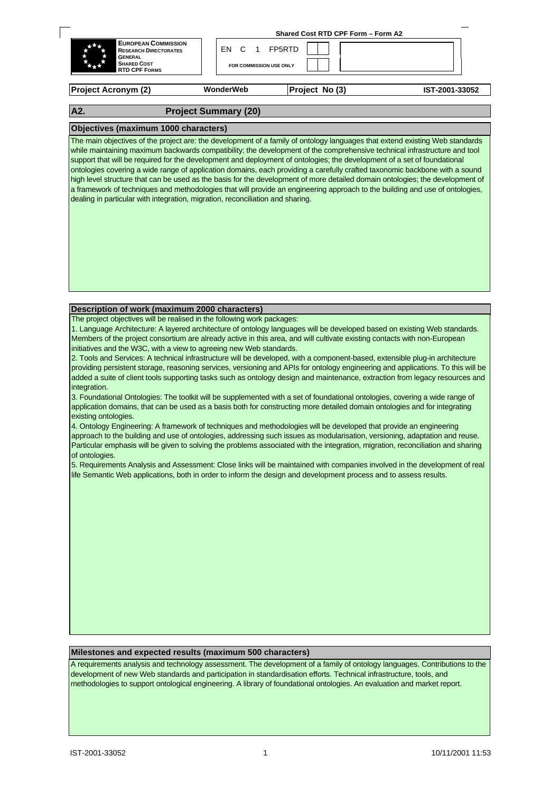| <b>GENERAL</b><br><b>SHARED COST</b><br>***<br><b>RTD CPF FORMS</b> | FOR COMMISSION USE ONLY              |                                    |  |
|---------------------------------------------------------------------|--------------------------------------|------------------------------------|--|
| <b>EUROPEAN COMMISSION</b><br>r# e<br><b>RESEARCH DIRECTORATES</b>  | FN<br>$\mathbf{C}$<br>$\overline{1}$ | FP5RTD                             |  |
|                                                                     |                                      | Shared Cost RTD CPF Form - Form A2 |  |

**Project Acronym (2) Project No (3) IST-2001-33052**

# **A2. Project Summary (20)**

#### **Objectives (maximum 1000 characters)**

The main objectives of the project are: the development of a family of ontology languages that extend existing Web standards while maintaining maximum backwards compatibility; the development of the comprehensive technical infrastructure and tool support that will be required for the development and deployment of ontologies; the development of a set of foundational ontologies covering a wide range of application domains, each providing a carefully crafted taxonomic backbone with a sound high level structure that can be used as the basis for the development of more detailed domain ontologies; the development of a framework of techniques and methodologies that will provide an engineering approach to the building and use of ontologies, dealing in particular with integration, migration, reconciliation and sharing.

#### **Description of work (maximum 2000 characters)**

The project objectives will be realised in the following work packages:

1. Language Architecture: A layered architecture of ontology languages will be developed based on existing Web standards. Members of the project consortium are already active in this area, and will cultivate existing contacts with non-European initiatives and the W3C, with a view to agreeing new Web standards.

2. Tools and Services: A technical infrastructure will be developed, with a component-based, extensible plug-in architecture providing persistent storage, reasoning services, versioning and APIs for ontology engineering and applications. To this will be added a suite of client tools supporting tasks such as ontology design and maintenance, extraction from legacy resources and integration.

3. Foundational Ontologies: The toolkit will be supplemented with a set of foundational ontologies, covering a wide range of application domains, that can be used as a basis both for constructing more detailed domain ontologies and for integrating existing ontologies.

4. Ontology Engineering: A framework of techniques and methodologies will be developed that provide an engineering approach to the building and use of ontologies, addressing such issues as modularisation, versioning, adaptation and reuse. Particular emphasis will be given to solving the problems associated with the integration, migration, reconciliation and sharing of ontologies.

5. Requirements Analysis and Assessment: Close links will be maintained with companies involved in the development of real life Semantic Web applications, both in order to inform the design and development process and to assess results.

#### **Milestones and expected results (maximum 500 characters)**

A requirements analysis and technology assessment. The development of a family of ontology languages. Contributions to the development of new Web standards and participation in standardisation efforts. Technical infrastructure, tools, and methodologies to support ontological engineering. A library of foundational ontologies. An evaluation and market report.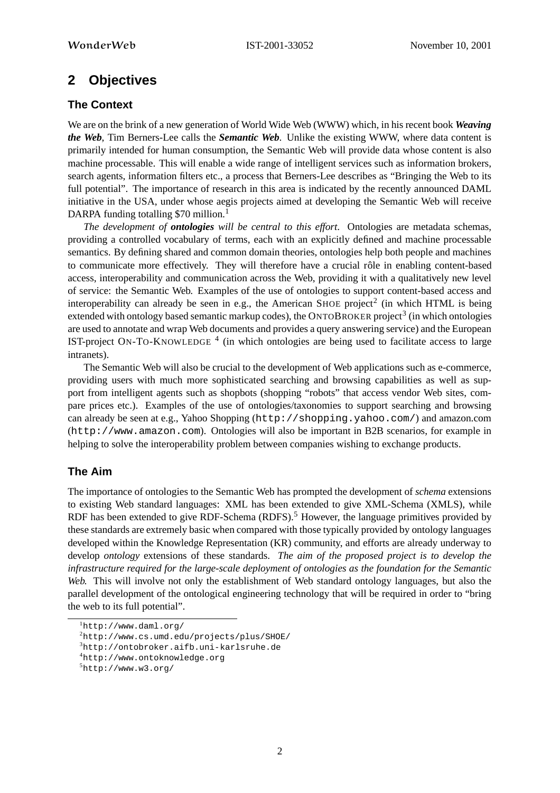# **2 Objectives**

#### **The Context**

We are on the brink of a new generation of World Wide Web (WWW) which, in his recent book *Weaving the Web*, Tim Berners-Lee calls the *Semantic Web*. Unlike the existing WWW, where data content is primarily intended for human consumption, the Semantic Web will provide data whose content is also machine processable. This will enable a wide range of intelligent services such as information brokers, search agents, information filters etc., a process that Berners-Lee describes as "Bringing the Web to its full potential". The importance of research in this area is indicated by the recently announced DAML initiative in the USA, under whose aegis projects aimed at developing the Semantic Web will receive DARPA funding totalling \$70 million.<sup>1</sup>

*The development of ontologies will be central to this effort*. Ontologies are metadata schemas, providing a controlled vocabulary of terms, each with an explicitly defined and machine processable semantics. By defining shared and common domain theories, ontologies help both people and machines to communicate more effectively. They will therefore have a crucial rôle in enabling content-based access, interoperability and communication across the Web, providing it with a qualitatively new level of service: the Semantic Web. Examples of the use of ontologies to support content-based access and interoperability can already be seen in e.g., the American SHOE project<sup>2</sup> (in which HTML is being extended with ontology based semantic markup codes), the ONTOBROKER project<sup>3</sup> (in which ontologies are used to annotate and wrap Web documents and provides a query answering service) and the European IST-project ON-TO-KNOWLEDGE<sup>4</sup> (in which ontologies are being used to facilitate access to large intranets).

The Semantic Web will also be crucial to the development of Web applications such as e-commerce, providing users with much more sophisticated searching and browsing capabilities as well as support from intelligent agents such as shopbots (shopping "robots" that access vendor Web sites, compare prices etc.). Examples of the use of ontologies/taxonomies to support searching and browsing can already be seen at e.g., Yahoo Shopping (http://shopping.yahoo.com/) and amazon.com (http://www.amazon.com). Ontologies will also be important in B2B scenarios, for example in helping to solve the interoperability problem between companies wishing to exchange products.

# **The Aim**

The importance of ontologies to the Semantic Web has prompted the development of *schema* extensions to existing Web standard languages: XML has been extended to give XML-Schema (XMLS), while RDF has been extended to give RDF-Schema (RDFS).<sup>5</sup> However, the language primitives provided by these standards are extremely basic when compared with those typically provided by ontology languages developed within the Knowledge Representation (KR) community, and efforts are already underway to develop *ontology* extensions of these standards. *The aim of the proposed project is to develop the infrastructure required for the large-scale deployment of ontologies as the foundation for the Semantic Web.* This will involve not only the establishment of Web standard ontology languages, but also the parallel development of the ontological engineering technology that will be required in order to "bring the web to its full potential".

 ${}^{1}$ http://www.daml.org/

 ${}^{2}$ http://www.cs.umd.edu/projects/plus/SHOE/

<sup>3</sup>http://ontobroker.aifb.uni-karlsruhe.de

<sup>4</sup>http://www.ontoknowledge.org

 $5$ http://www.w3.org/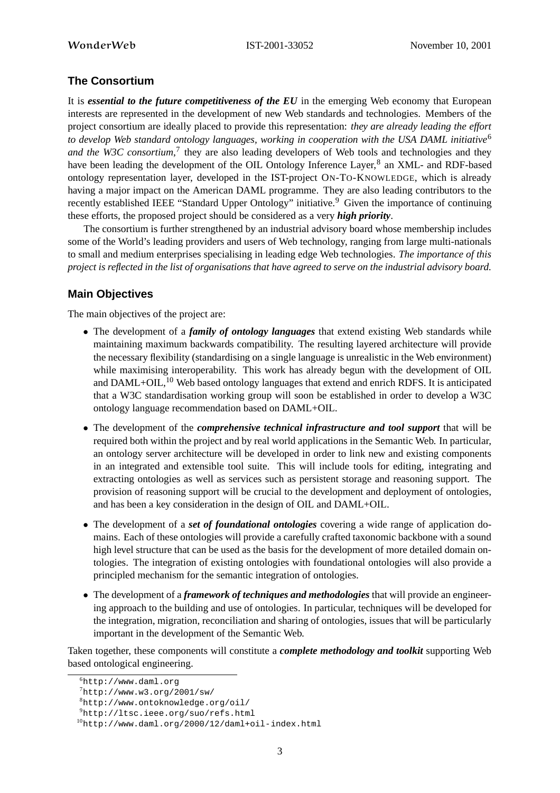# **The Consortium**

It is *essential to the future competitiveness of the EU* in the emerging Web economy that European interests are represented in the development of new Web standards and technologies. Members of the project consortium are ideally placed to provide this representation: *they are already leading the effort to develop Web standard ontology languages, working in cooperation with the USA DAML initiative*<sup>6</sup> *and the W3C consortium*, 7 they are also leading developers of Web tools and technologies and they have been leading the development of the OIL Ontology Inference Layer,<sup>8</sup> an XML- and RDF-based ontology representation layer, developed in the IST-project ON-TO-KNOWLEDGE, which is already having a major impact on the American DAML programme. They are also leading contributors to the recently established IEEE "Standard Upper Ontology" initiative.<sup>9</sup> Given the importance of continuing these efforts, the proposed project should be considered as a very *high priority*.

The consortium is further strengthened by an industrial advisory board whose membership includes some of the World's leading providers and users of Web technology, ranging from large multi-nationals to small and medium enterprises specialising in leading edge Web technologies. *The importance of this* project is reflected in the list of organisations that have agreed to serve on the industrial advisory board.

# **Main Objectives**

The main objectives of the project are:

- The development of a *family of ontology languages* that extend existing Web standards while maintaining maximum backwards compatibility. The resulting layered architecture will provide the necessary flexibility (standardising on a single language is unrealistic in the Web environment) while maximising interoperability. This work has already begun with the development of OIL and DAML+OIL,<sup>10</sup> Web based ontology languages that extend and enrich RDFS. It is anticipated that a W3C standardisation working group will soon be established in order to develop a W3C ontology language recommendation based on DAML+OIL.
- The development of the *comprehensive technical infrastructure and tool support* that will be required both within the project and by real world applications in the Semantic Web. In particular, an ontology server architecture will be developed in order to link new and existing components in an integrated and extensible tool suite. This will include tools for editing, integrating and extracting ontologies as well as services such as persistent storage and reasoning support. The provision of reasoning support will be crucial to the development and deployment of ontologies, and has been a key consideration in the design of OIL and DAML+OIL.
- The development of a *set of foundational ontologies* covering a wide range of application domains. Each of these ontologies will provide a carefully crafted taxonomic backbone with a sound high level structure that can be used as the basis for the development of more detailed domain ontologies. The integration of existing ontologies with foundational ontologies will also provide a principled mechanism for the semantic integration of ontologies.
- The development of a *framework of techniques and methodologies* that will provide an engineering approach to the building and use of ontologies. In particular, techniques will be developed for the integration, migration, reconciliation and sharing of ontologies, issues that will be particularly important in the development of the Semantic Web.

Taken together, these components will constitute a *complete methodology and toolkit* supporting Web based ontological engineering.

 $6$ http://www.daml.org

 $7$ http://www.w3.org/2001/sw/

<sup>8</sup>http://www.ontoknowledge.org/oil/

<sup>9</sup>http://ltsc.ieee.org/suo/refs.html

<sup>10</sup>http://www.daml.org/2000/12/daml+oil-index.html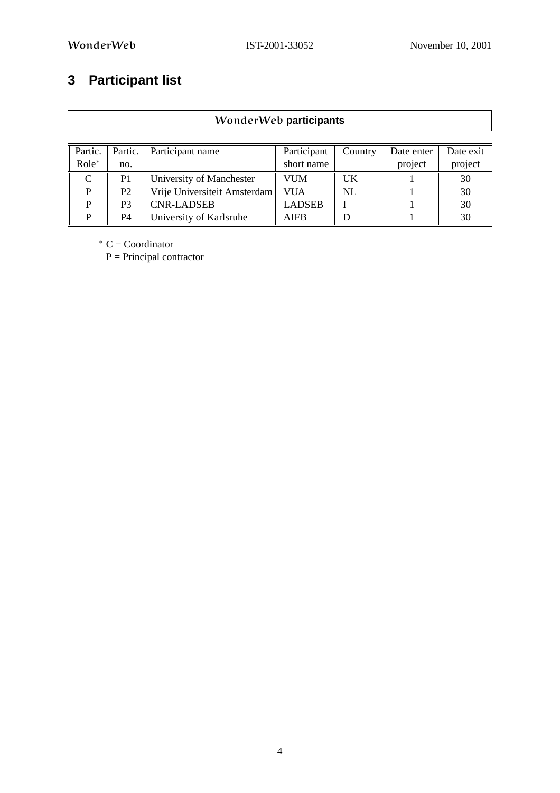# **3 Participant list**

|          | WonderWeb participants |                              |               |         |            |           |  |  |  |  |
|----------|------------------------|------------------------------|---------------|---------|------------|-----------|--|--|--|--|
|          |                        |                              |               |         |            |           |  |  |  |  |
| Partic.  | Partic.                | Participant name             | Participant   | Country | Date enter | Date exit |  |  |  |  |
| $Role^*$ | no.                    |                              | short name    |         | project    | project   |  |  |  |  |
| C        | P <sub>1</sub>         | University of Manchester     | VUM           | UK      |            | 30        |  |  |  |  |
| P        | P <sub>2</sub>         | Vrije Universiteit Amsterdam | VUA           | NL      |            | 30        |  |  |  |  |
| P        | P <sub>3</sub>         | <b>CNR-LADSEB</b>            | <b>LADSEB</b> |         |            | 30        |  |  |  |  |
| P        | <b>P4</b>              | University of Karlsruhe      | <b>AIFB</b>   |         |            | 30        |  |  |  |  |

<sup>∗</sup> C = Coordinator

 $P = Principal contractor$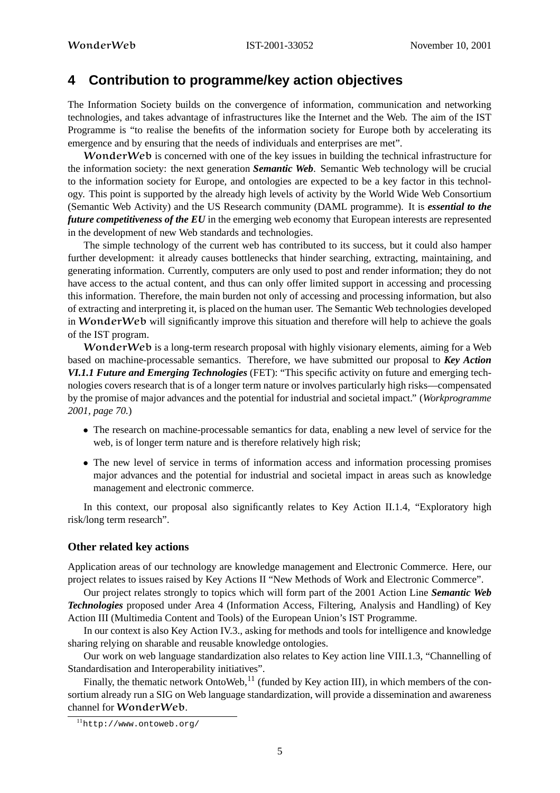# **4 Contribution to programme/key action objectives**

The Information Society builds on the convergence of information, communication and networking technologies, and takes advantage of infrastructures like the Internet and the Web. The aim of the IST Programme is "to realise the benefits of the information society for Europe both by accelerating its emergence and by ensuring that the needs of individuals and enterprises are met".

WonderWeb is concerned with one of the key issues in building the technical infrastructure for the information society: the next generation *Semantic Web*. Semantic Web technology will be crucial to the information society for Europe, and ontologies are expected to be a key factor in this technology. This point is supported by the already high levels of activity by the World Wide Web Consortium (Semantic Web Activity) and the US Research community (DAML programme). It is *essential to the future competitiveness of the EU* in the emerging web economy that European interests are represented in the development of new Web standards and technologies.

The simple technology of the current web has contributed to its success, but it could also hamper further development: it already causes bottlenecks that hinder searching, extracting, maintaining, and generating information. Currently, computers are only used to post and render information; they do not have access to the actual content, and thus can only offer limited support in accessing and processing this information. Therefore, the main burden not only of accessing and processing information, but also of extracting and interpreting it, is placed on the human user. The Semantic Web technologies developed in WonderWeb will significantly improve this situation and therefore will help to achieve the goals of the IST program.

WonderWeb is a long-term research proposal with highly visionary elements, aiming for a Web based on machine-processable semantics. Therefore, we have submitted our proposal to *Key Action VI.1.1 Future and Emerging Technologies* (FET): "This specific activity on future and emerging technologies covers research that is of a longer term nature or involves particularly high risks—compensated by the promise of major advances and the potential for industrial and societal impact." (*Workprogramme 2001, page 70.*)

- The research on machine-processable semantics for data, enabling a new level of service for the web, is of longer term nature and is therefore relatively high risk;
- The new level of service in terms of information access and information processing promises major advances and the potential for industrial and societal impact in areas such as knowledge management and electronic commerce.

In this context, our proposal also significantly relates to Key Action II.1.4, "Exploratory high risk/long term research".

#### **Other related key actions**

Application areas of our technology are knowledge management and Electronic Commerce. Here, our project relates to issues raised by Key Actions II "New Methods of Work and Electronic Commerce".

Our project relates strongly to topics which will form part of the 2001 Action Line *Semantic Web Technologies* proposed under Area 4 (Information Access, Filtering, Analysis and Handling) of Key Action III (Multimedia Content and Tools) of the European Union's IST Programme.

In our context is also Key Action IV.3., asking for methods and tools for intelligence and knowledge sharing relying on sharable and reusable knowledge ontologies.

Our work on web language standardization also relates to Key action line VIII.1.3, "Channelling of Standardisation and Interoperability initiatives".

Finally, the thematic network OntoWeb,  $11$  (funded by Key action III), in which members of the consortium already run a SIG on Web language standardization, will provide a dissemination and awareness channel for WonderWeb.

<sup>11</sup>http://www.ontoweb.org/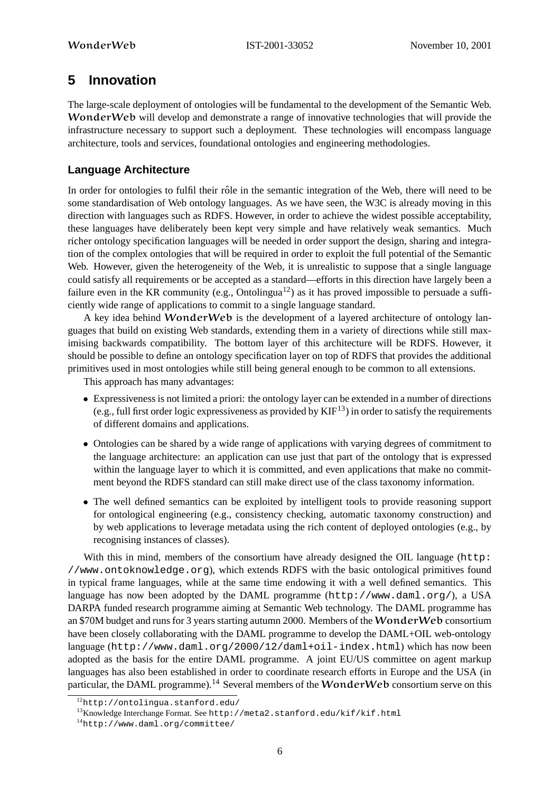# **5 Innovation**

The large-scale deployment of ontologies will be fundamental to the development of the Semantic Web. WonderWeb will develop and demonstrate a range of innovative technologies that will provide the infrastructure necessary to support such a deployment. These technologies will encompass language architecture, tools and services, foundational ontologies and engineering methodologies.

# **Language Architecture**

In order for ontologies to fulfil their rôle in the semantic integration of the Web, there will need to be some standardisation of Web ontology languages. As we have seen, the W3C is already moving in this direction with languages such as RDFS. However, in order to achieve the widest possible acceptability, these languages have deliberately been kept very simple and have relatively weak semantics. Much richer ontology specification languages will be needed in order support the design, sharing and integration of the complex ontologies that will be required in order to exploit the full potential of the Semantic Web. However, given the heterogeneity of the Web, it is unrealistic to suppose that a single language could satisfy all requirements or be accepted as a standard—efforts in this direction have largely been a failure even in the KR community (e.g., Ontolingua<sup>12</sup>) as it has proved impossible to persuade a sufficiently wide range of applications to commit to a single language standard.

A key idea behind WonderWeb is the development of a layered architecture of ontology languages that build on existing Web standards, extending them in a variety of directions while still maximising backwards compatibility. The bottom layer of this architecture will be RDFS. However, it should be possible to define an ontology specification layer on top of RDFS that provides the additional primitives used in most ontologies while still being general enough to be common to all extensions.

This approach has many advantages:

- Expressiveness is not limited a priori: the ontology layer can be extended in a number of directions (e.g., full first order logic expressiveness as provided by  $KIF^{13}$ ) in order to satisfy the requirements of different domains and applications.
- Ontologies can be shared by a wide range of applications with varying degrees of commitment to the language architecture: an application can use just that part of the ontology that is expressed within the language layer to which it is committed, and even applications that make no commitment beyond the RDFS standard can still make direct use of the class taxonomy information.
- The well defined semantics can be exploited by intelligent tools to provide reasoning support for ontological engineering (e.g., consistency checking, automatic taxonomy construction) and by web applications to leverage metadata using the rich content of deployed ontologies (e.g., by recognising instances of classes).

With this in mind, members of the consortium have already designed the OIL language (http: //www.ontoknowledge.org), which extends RDFS with the basic ontological primitives found in typical frame languages, while at the same time endowing it with a well defined semantics. This language has now been adopted by the DAML programme (http://www.daml.org/), a USA DARPA funded research programme aiming at Semantic Web technology. The DAML programme has an \$70M budget and runs for 3 years starting autumn 2000. Members of the WonderWeb consortium have been closely collaborating with the DAML programme to develop the DAML+OIL web-ontology language (http://www.daml.org/2000/12/daml+oil-index.html) which has now been adopted as the basis for the entire DAML programme. A joint EU/US committee on agent markup languages has also been established in order to coordinate research efforts in Europe and the USA (in particular, the DAML programme).<sup>14</sup> Several members of the **WonderWeb** consortium serve on this

<sup>12</sup>http://ontolingua.stanford.edu/

<sup>13</sup>Knowledge Interchange Format. See http://meta2.stanford.edu/kif/kif.html

<sup>14</sup>http://www.daml.org/committee/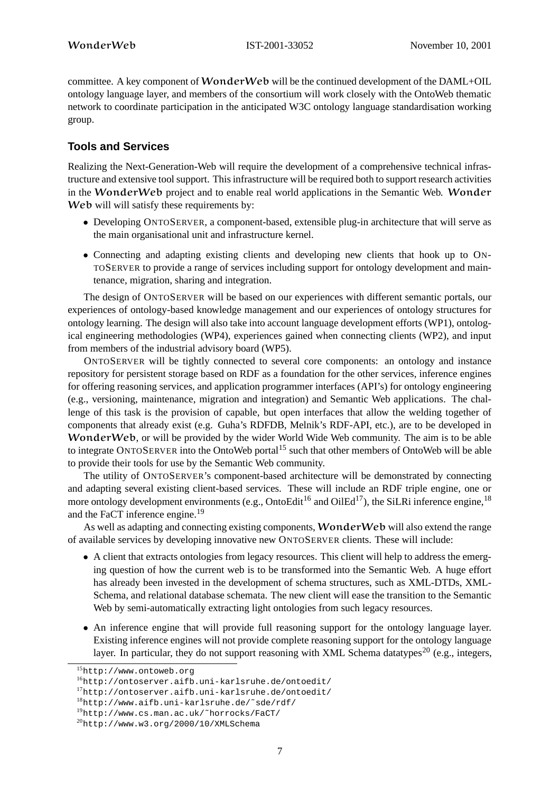committee. A key component of WonderWeb will be the continued development of the DAML+OIL ontology language layer, and members of the consortium will work closely with the OntoWeb thematic network to coordinate participation in the anticipated W3C ontology language standardisation working group.

# **Tools and Services**

Realizing the Next-Generation-Web will require the development of a comprehensive technical infrastructure and extensive tool support. This infrastructure will be required both to support research activities in the WonderWeb project and to enable real world applications in the Semantic Web. Wonder Web will will satisfy these requirements by:

- Developing ONTOSERVER, a component-based, extensible plug-in architecture that will serve as the main organisational unit and infrastructure kernel.
- Connecting and adapting existing clients and developing new clients that hook up to ON-TOSERVER to provide a range of services including support for ontology development and maintenance, migration, sharing and integration.

The design of ONTOSERVER will be based on our experiences with different semantic portals, our experiences of ontology-based knowledge management and our experiences of ontology structures for ontology learning. The design will also take into account language development efforts (WP1), ontological engineering methodologies (WP4), experiences gained when connecting clients (WP2), and input from members of the industrial advisory board (WP5).

ONTOSERVER will be tightly connected to several core components: an ontology and instance repository for persistent storage based on RDF as a foundation for the other services, inference engines for offering reasoning services, and application programmer interfaces (API's) for ontology engineering (e.g., versioning, maintenance, migration and integration) and Semantic Web applications. The challenge of this task is the provision of capable, but open interfaces that allow the welding together of components that already exist (e.g. Guha's RDFDB, Melnik's RDF-API, etc.), are to be developed in WonderWeb, or will be provided by the wider World Wide Web community. The aim is to be able to integrate ONTOSERVER into the OntoWeb portal<sup>15</sup> such that other members of OntoWeb will be able to provide their tools for use by the Semantic Web community.

The utility of ONTOSERVER's component-based architecture will be demonstrated by connecting and adapting several existing client-based services. These will include an RDF triple engine, one or more ontology development environments (e.g., OntoEdit<sup>16</sup> and OilEd<sup>17</sup>), the SiLRi inference engine, <sup>18</sup> and the FaCT inference engine.<sup>19</sup>

As well as adapting and connecting existing components, **WonderWeb** will also extend the range of available services by developing innovative new ONTOSERVER clients. These will include:

- A client that extracts ontologies from legacy resources. This client will help to address the emerging question of how the current web is to be transformed into the Semantic Web. A huge effort has already been invested in the development of schema structures, such as XML-DTDs, XML-Schema, and relational database schemata. The new client will ease the transition to the Semantic Web by semi-automatically extracting light ontologies from such legacy resources.
- An inference engine that will provide full reasoning support for the ontology language layer. Existing inference engines will not provide complete reasoning support for the ontology language layer. In particular, they do not support reasoning with XML Schema datatypes<sup>20</sup> (e.g., integers,

<sup>15</sup>http://www.ontoweb.org

 $16$ http://ontoserver.aifb.uni-karlsruhe.de/ontoedit/

<sup>17</sup>http://ontoserver.aifb.uni-karlsruhe.de/ontoedit/

<sup>18</sup>http://www.aifb.uni-karlsruhe.de/˜sde/rdf/

<sup>19</sup>http://www.cs.man.ac.uk/˜horrocks/FaCT/

 $^{20}$ http://www.w3.org/2000/10/XMLSchema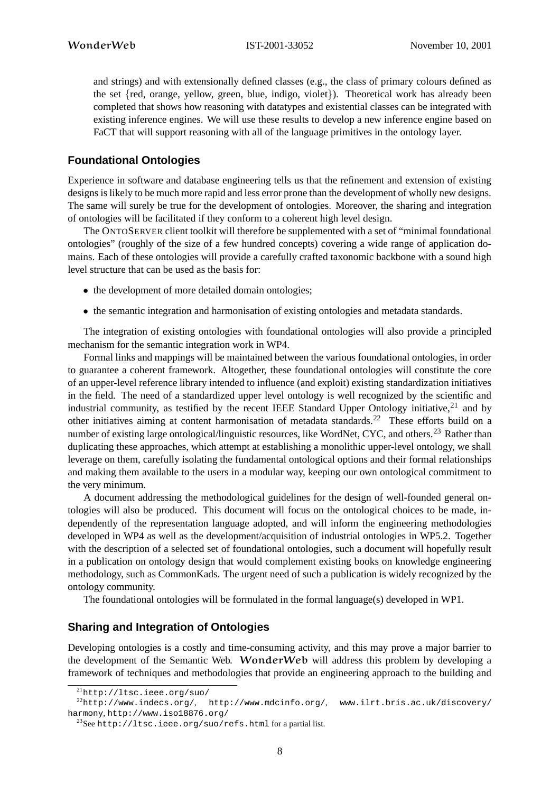and strings) and with extensionally defined classes (e.g., the class of primary colours defined as the set {red, orange, yellow, green, blue, indigo, violet}). Theoretical work has already been completed that shows how reasoning with datatypes and existential classes can be integrated with existing inference engines. We will use these results to develop a new inference engine based on FaCT that will support reasoning with all of the language primitives in the ontology layer.

# **Foundational Ontologies**

Experience in software and database engineering tells us that the refinement and extension of existing designs is likely to be much more rapid and less error prone than the development of wholly new designs. The same will surely be true for the development of ontologies. Moreover, the sharing and integration of ontologies will be facilitated if they conform to a coherent high level design.

The ONTOSERVER client toolkit will therefore be supplemented with a set of "minimal foundational ontologies" (roughly of the size of a few hundred concepts) covering a wide range of application domains. Each of these ontologies will provide a carefully crafted taxonomic backbone with a sound high level structure that can be used as the basis for:

- the development of more detailed domain ontologies;
- the semantic integration and harmonisation of existing ontologies and metadata standards.

The integration of existing ontologies with foundational ontologies will also provide a principled mechanism for the semantic integration work in WP4.

Formal links and mappings will be maintained between the various foundational ontologies, in order to guarantee a coherent framework. Altogether, these foundational ontologies will constitute the core of an upper-level reference library intended to influence (and exploit) existing standardization initiatives in the field. The need of a standardized upper level ontology is well recognized by the scientific and industrial community, as testified by the recent IEEE Standard Upper Ontology initiative,  $21$  and by other initiatives aiming at content harmonisation of metadata standards.<sup>22</sup> These efforts build on a number of existing large ontological/linguistic resources, like WordNet, CYC, and others.<sup>23</sup> Rather than duplicating these approaches, which attempt at establishing a monolithic upper-level ontology, we shall leverage on them, carefully isolating the fundamental ontological options and their formal relationships and making them available to the users in a modular way, keeping our own ontological commitment to the very minimum.

A document addressing the methodological guidelines for the design of well-founded general ontologies will also be produced. This document will focus on the ontological choices to be made, independently of the representation language adopted, and will inform the engineering methodologies developed in WP4 as well as the development/acquisition of industrial ontologies in WP5.2. Together with the description of a selected set of foundational ontologies, such a document will hopefully result in a publication on ontology design that would complement existing books on knowledge engineering methodology, such as CommonKads. The urgent need of such a publication is widely recognized by the ontology community.

The foundational ontologies will be formulated in the formal language(s) developed in WP1.

#### **Sharing and Integration of Ontologies**

Developing ontologies is a costly and time-consuming activity, and this may prove a major barrier to the development of the Semantic Web. WonderWeb will address this problem by developing a framework of techniques and methodologies that provide an engineering approach to the building and

<sup>21</sup>http://ltsc.ieee.org/suo/

 $22$ http://www.indecs.org/, http://www.mdcinfo.org/, www.ilrt.bris.ac.uk/discovery/ harmony, http://www.iso18876.org/

<sup>23</sup>See http://ltsc.ieee.org/suo/refs.html for a partial list.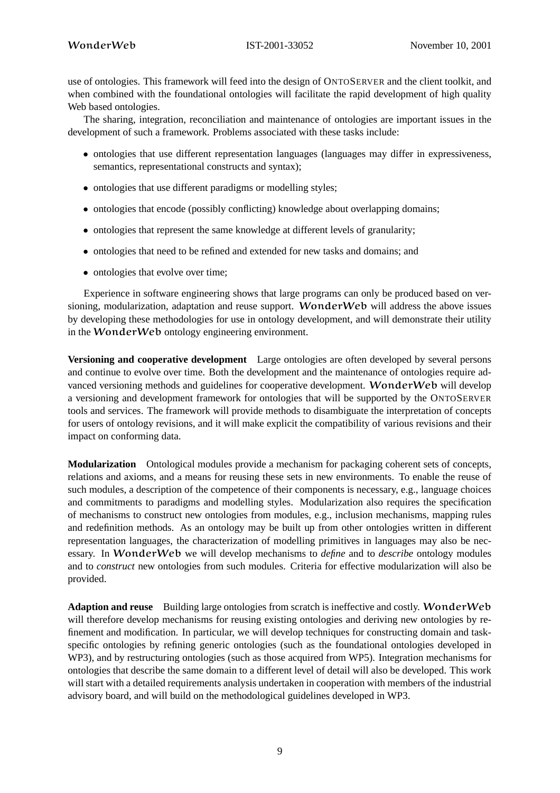use of ontologies. This framework will feed into the design of ONTOSERVER and the client toolkit, and when combined with the foundational ontologies will facilitate the rapid development of high quality Web based ontologies.

The sharing, integration, reconciliation and maintenance of ontologies are important issues in the development of such a framework. Problems associated with these tasks include:

- ontologies that use different representation languages (languages may differ in expressiveness, semantics, representational constructs and syntax);
- ontologies that use different paradigms or modelling styles;
- ontologies that encode (possibly conflicting) knowledge about overlapping domains;
- ontologies that represent the same knowledge at different levels of granularity;
- ontologies that need to be refined and extended for new tasks and domains; and
- ontologies that evolve over time;

Experience in software engineering shows that large programs can only be produced based on versioning, modularization, adaptation and reuse support. WonderWeb will address the above issues by developing these methodologies for use in ontology development, and will demonstrate their utility in the WonderWeb ontology engineering environment.

**Versioning and cooperative development** Large ontologies are often developed by several persons and continue to evolve over time. Both the development and the maintenance of ontologies require advanced versioning methods and guidelines for cooperative development. WonderWeb will develop a versioning and development framework for ontologies that will be supported by the ONTOSERVER tools and services. The framework will provide methods to disambiguate the interpretation of concepts for users of ontology revisions, and it will make explicit the compatibility of various revisions and their impact on conforming data.

**Modularization** Ontological modules provide a mechanism for packaging coherent sets of concepts, relations and axioms, and a means for reusing these sets in new environments. To enable the reuse of such modules, a description of the competence of their components is necessary, e.g., language choices and commitments to paradigms and modelling styles. Modularization also requires the specification of mechanisms to construct new ontologies from modules, e.g., inclusion mechanisms, mapping rules and redefinition methods. As an ontology may be built up from other ontologies written in different representation languages, the characterization of modelling primitives in languages may also be necessary. In WonderWeb we will develop mechanisms to *define* and to *describe* ontology modules and to *construct* new ontologies from such modules. Criteria for effective modularization will also be provided.

**Adaption and reuse** Building large ontologies from scratch is ineffective and costly. WonderWeb will therefore develop mechanisms for reusing existing ontologies and deriving new ontologies by refinement and modification. In particular, we will develop techniques for constructing domain and taskspecific ontologies by refining generic ontologies (such as the foundational ontologies developed in WP3), and by restructuring ontologies (such as those acquired from WP5). Integration mechanisms for ontologies that describe the same domain to a different level of detail will also be developed. This work will start with a detailed requirements analysis undertaken in cooperation with members of the industrial advisory board, and will build on the methodological guidelines developed in WP3.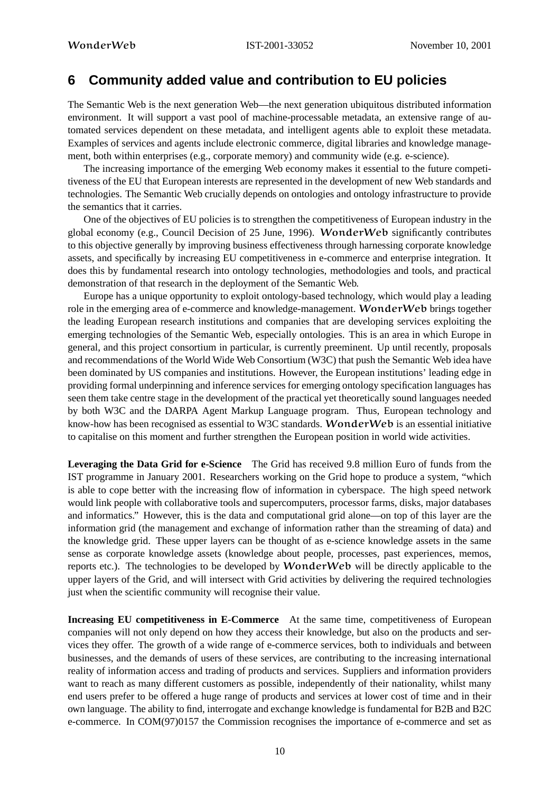# **6 Community added value and contribution to EU policies**

The Semantic Web is the next generation Web—the next generation ubiquitous distributed information environment. It will support a vast pool of machine-processable metadata, an extensive range of automated services dependent on these metadata, and intelligent agents able to exploit these metadata. Examples of services and agents include electronic commerce, digital libraries and knowledge management, both within enterprises (e.g., corporate memory) and community wide (e.g. e-science).

The increasing importance of the emerging Web economy makes it essential to the future competitiveness of the EU that European interests are represented in the development of new Web standards and technologies. The Semantic Web crucially depends on ontologies and ontology infrastructure to provide the semantics that it carries.

One of the objectives of EU policies is to strengthen the competitiveness of European industry in the global economy (e.g., Council Decision of 25 June, 1996). WonderWeb significantly contributes to this objective generally by improving business effectiveness through harnessing corporate knowledge assets, and specifically by increasing EU competitiveness in e-commerce and enterprise integration. It does this by fundamental research into ontology technologies, methodologies and tools, and practical demonstration of that research in the deployment of the Semantic Web.

Europe has a unique opportunity to exploit ontology-based technology, which would play a leading role in the emerging area of e-commerce and knowledge-management. WonderWeb brings together the leading European research institutions and companies that are developing services exploiting the emerging technologies of the Semantic Web, especially ontologies. This is an area in which Europe in general, and this project consortium in particular, is currently preeminent. Up until recently, proposals and recommendations of the World Wide Web Consortium (W3C) that push the Semantic Web idea have been dominated by US companies and institutions. However, the European institutions' leading edge in providing formal underpinning and inference services for emerging ontology specification languages has seen them take centre stage in the development of the practical yet theoretically sound languages needed by both W3C and the DARPA Agent Markup Language program. Thus, European technology and know-how has been recognised as essential to W3C standards. WonderWeb is an essential initiative to capitalise on this moment and further strengthen the European position in world wide activities.

**Leveraging the Data Grid for e-Science** The Grid has received 9.8 million Euro of funds from the IST programme in January 2001. Researchers working on the Grid hope to produce a system, "which is able to cope better with the increasing flow of information in cyberspace. The high speed network would link people with collaborative tools and supercomputers, processor farms, disks, major databases and informatics." However, this is the data and computational grid alone—on top of this layer are the information grid (the management and exchange of information rather than the streaming of data) and the knowledge grid. These upper layers can be thought of as e-science knowledge assets in the same sense as corporate knowledge assets (knowledge about people, processes, past experiences, memos, reports etc.). The technologies to be developed by WonderWeb will be directly applicable to the upper layers of the Grid, and will intersect with Grid activities by delivering the required technologies just when the scientific community will recognise their value.

**Increasing EU competitiveness in E-Commerce** At the same time, competitiveness of European companies will not only depend on how they access their knowledge, but also on the products and services they offer. The growth of a wide range of e-commerce services, both to individuals and between businesses, and the demands of users of these services, are contributing to the increasing international reality of information access and trading of products and services. Suppliers and information providers want to reach as many different customers as possible, independently of their nationality, whilst many end users prefer to be offered a huge range of products and services at lower cost of time and in their own language. The ability to find, interrogate and exchange knowledge is fundamental for B2B and B2C e-commerce. In COM(97)0157 the Commission recognises the importance of e-commerce and set as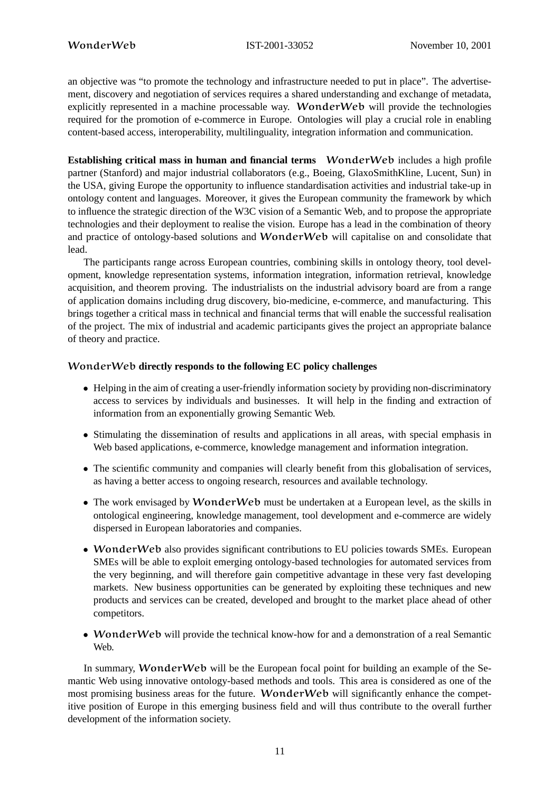an objective was "to promote the technology and infrastructure needed to put in place". The advertisement, discovery and negotiation of services requires a shared understanding and exchange of metadata, explicitly represented in a machine processable way. WonderWeb will provide the technologies required for the promotion of e-commerce in Europe. Ontologies will play a crucial role in enabling content-based access, interoperability, multilinguality, integration information and communication.

**Establishing critical mass in human and financial terms** WonderWeb includes a high profile partner (Stanford) and major industrial collaborators (e.g., Boeing, GlaxoSmithKline, Lucent, Sun) in the USA, giving Europe the opportunity to influence standardisation activities and industrial take-up in ontology content and languages. Moreover, it gives the European community the framework by which to influence the strategic direction of the W3C vision of a Semantic Web, and to propose the appropriate technologies and their deployment to realise the vision. Europe has a lead in the combination of theory and practice of ontology-based solutions and WonderWeb will capitalise on and consolidate that lead.

The participants range across European countries, combining skills in ontology theory, tool development, knowledge representation systems, information integration, information retrieval, knowledge acquisition, and theorem proving. The industrialists on the industrial advisory board are from a range of application domains including drug discovery, bio-medicine, e-commerce, and manufacturing. This brings together a critical mass in technical and financial terms that will enable the successful realisation of the project. The mix of industrial and academic participants gives the project an appropriate balance of theory and practice.

#### WonderWeb **directly responds to the following EC policy challenges**

- Helping in the aim of creating a user-friendly information society by providing non-discriminatory access to services by individuals and businesses. It will help in the finding and extraction of information from an exponentially growing Semantic Web.
- Stimulating the dissemination of results and applications in all areas, with special emphasis in Web based applications, e-commerce, knowledge management and information integration.
- The scientific community and companies will clearly benefit from this globalisation of services, as having a better access to ongoing research, resources and available technology.
- The work envisaged by **WonderWeb** must be undertaken at a European level, as the skills in ontological engineering, knowledge management, tool development and e-commerce are widely dispersed in European laboratories and companies.
- WonderWeb also provides significant contributions to EU policies towards SMEs. European SMEs will be able to exploit emerging ontology-based technologies for automated services from the very beginning, and will therefore gain competitive advantage in these very fast developing markets. New business opportunities can be generated by exploiting these techniques and new products and services can be created, developed and brought to the market place ahead of other competitors.
- WonderWeb will provide the technical know-how for and a demonstration of a real Semantic Web.

In summary, WonderWeb will be the European focal point for building an example of the Semantic Web using innovative ontology-based methods and tools. This area is considered as one of the most promising business areas for the future. WonderWeb will significantly enhance the competitive position of Europe in this emerging business field and will thus contribute to the overall further development of the information society.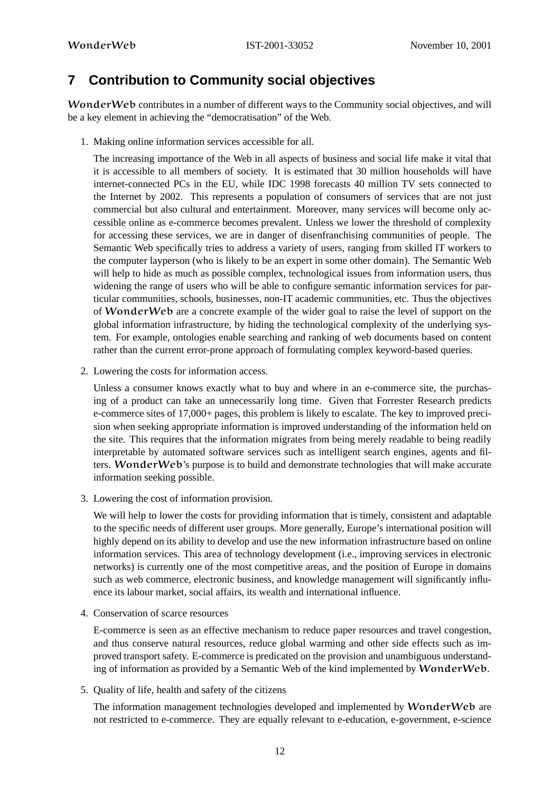# **7 Contribution to Community social objectives**

WonderWeb contributes in a number of different ways to the Community social objectives, and will be a key element in achieving the "democratisation" of the Web.

1. Making online information services accessible for all.

The increasing importance of the Web in all aspects of business and social life make it vital that it is accessible to all members of society. It is estimated that 30 million households will have internet-connected PCs in the EU, while IDC 1998 forecasts 40 million TV sets connected to the Internet by 2002. This represents a population of consumers of services that are not just commercial but also cultural and entertainment. Moreover, many services will become only accessible online as e-commerce becomes prevalent. Unless we lower the threshold of complexity for accessing these services, we are in danger of disenfranchising communities of people. The Semantic Web specifically tries to address a variety of users, ranging from skilled IT workers to the computer layperson (who is likely to be an expert in some other domain). The Semantic Web will help to hide as much as possible complex, technological issues from information users, thus widening the range of users who will be able to configure semantic information services for particular communities, schools, businesses, non-IT academic communities, etc. Thus the objectives of WonderWeb are a concrete example of the wider goal to raise the level of support on the global information infrastructure, by hiding the technological complexity of the underlying system. For example, ontologies enable searching and ranking of web documents based on content rather than the current error-prone approach of formulating complex keyword-based queries.

2. Lowering the costs for information access.

Unless a consumer knows exactly what to buy and where in an e-commerce site, the purchasing of a product can take an unnecessarily long time. Given that Forrester Research predicts e-commerce sites of 17,000+ pages, this problem is likely to escalate. The key to improved precision when seeking appropriate information is improved understanding of the information held on the site. This requires that the information migrates from being merely readable to being readily interpretable by automated software services such as intelligent search engines, agents and filters. WonderWeb's purpose is to build and demonstrate technologies that will make accurate information seeking possible.

3. Lowering the cost of information provision.

We will help to lower the costs for providing information that is timely, consistent and adaptable to the specific needs of different user groups. More generally, Europe's international position will highly depend on its ability to develop and use the new information infrastructure based on online information services. This area of technology development (i.e., improving services in electronic networks) is currently one of the most competitive areas, and the position of Europe in domains such as web commerce, electronic business, and knowledge management will significantly influence its labour market, social affairs, its wealth and international influence.

4. Conservation of scarce resources

E-commerce is seen as an effective mechanism to reduce paper resources and travel congestion, and thus conserve natural resources, reduce global warming and other side effects such as improved transport safety. E-commerce is predicated on the provision and unambiguous understanding of information as provided by a Semantic Web of the kind implemented by WonderWeb.

5. Quality of life, health and safety of the citizens

The information management technologies developed and implemented by WonderWeb are not restricted to e-commerce. They are equally relevant to e-education, e-government, e-science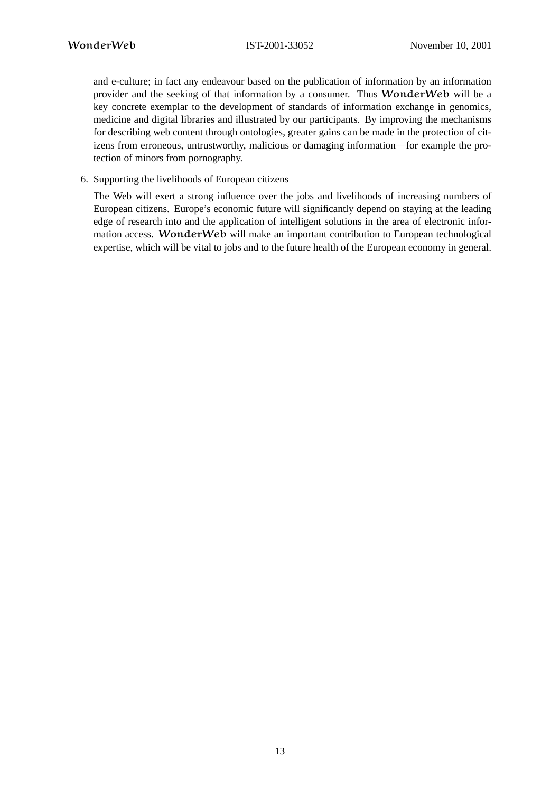and e-culture; in fact any endeavour based on the publication of information by an information provider and the seeking of that information by a consumer. Thus WonderWeb will be a key concrete exemplar to the development of standards of information exchange in genomics, medicine and digital libraries and illustrated by our participants. By improving the mechanisms for describing web content through ontologies, greater gains can be made in the protection of citizens from erroneous, untrustworthy, malicious or damaging information—for example the protection of minors from pornography.

6. Supporting the livelihoods of European citizens

The Web will exert a strong influence over the jobs and livelihoods of increasing numbers of European citizens. Europe's economic future will significantly depend on staying at the leading edge of research into and the application of intelligent solutions in the area of electronic information access. WonderWeb will make an important contribution to European technological expertise, which will be vital to jobs and to the future health of the European economy in general.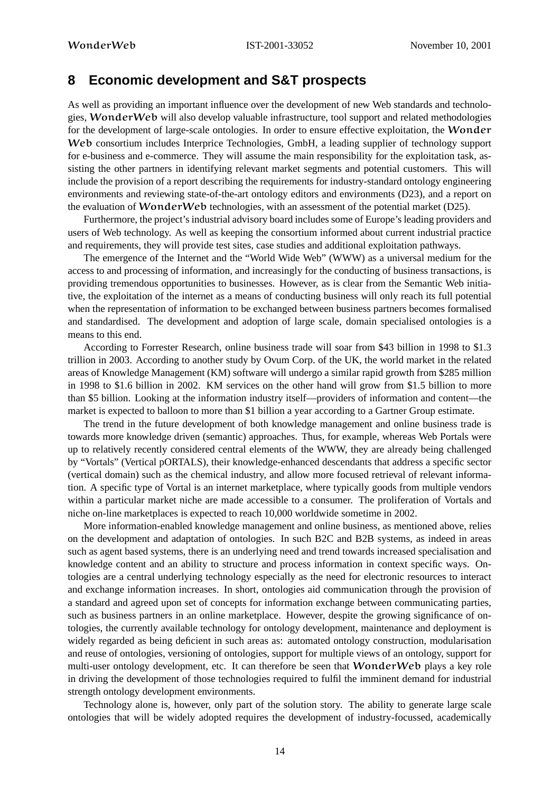# **8 Economic development and S&T prospects**

As well as providing an important influence over the development of new Web standards and technologies, WonderWeb will also develop valuable infrastructure, tool support and related methodologies for the development of large-scale ontologies. In order to ensure effective exploitation, the Wonder Web consortium includes Interprice Technologies, GmbH, a leading supplier of technology support for e-business and e-commerce. They will assume the main responsibility for the exploitation task, assisting the other partners in identifying relevant market segments and potential customers. This will include the provision of a report describing the requirements for industry-standard ontology engineering environments and reviewing state-of-the-art ontology editors and environments (D23), and a report on the evaluation of WonderWeb technologies, with an assessment of the potential market (D25).

Furthermore, the project's industrial advisory board includes some of Europe's leading providers and users of Web technology. As well as keeping the consortium informed about current industrial practice and requirements, they will provide test sites, case studies and additional exploitation pathways.

The emergence of the Internet and the "World Wide Web" (WWW) as a universal medium for the access to and processing of information, and increasingly for the conducting of business transactions, is providing tremendous opportunities to businesses. However, as is clear from the Semantic Web initiative, the exploitation of the internet as a means of conducting business will only reach its full potential when the representation of information to be exchanged between business partners becomes formalised and standardised. The development and adoption of large scale, domain specialised ontologies is a means to this end.

According to Forrester Research, online business trade will soar from \$43 billion in 1998 to \$1.3 trillion in 2003. According to another study by Ovum Corp. of the UK, the world market in the related areas of Knowledge Management (KM) software will undergo a similar rapid growth from \$285 million in 1998 to \$1.6 billion in 2002. KM services on the other hand will grow from \$1.5 billion to more than \$5 billion. Looking at the information industry itself—providers of information and content—the market is expected to balloon to more than \$1 billion a year according to a Gartner Group estimate.

The trend in the future development of both knowledge management and online business trade is towards more knowledge driven (semantic) approaches. Thus, for example, whereas Web Portals were up to relatively recently considered central elements of the WWW, they are already being challenged by "Vortals" (Vertical pORTALS), their knowledge-enhanced descendants that address a specific sector (vertical domain) such as the chemical industry, and allow more focused retrieval of relevant information. A specific type of Vortal is an internet marketplace, where typically goods from multiple vendors within a particular market niche are made accessible to a consumer. The proliferation of Vortals and niche on-line marketplaces is expected to reach 10,000 worldwide sometime in 2002.

More information-enabled knowledge management and online business, as mentioned above, relies on the development and adaptation of ontologies. In such B2C and B2B systems, as indeed in areas such as agent based systems, there is an underlying need and trend towards increased specialisation and knowledge content and an ability to structure and process information in context specific ways. Ontologies are a central underlying technology especially as the need for electronic resources to interact and exchange information increases. In short, ontologies aid communication through the provision of a standard and agreed upon set of concepts for information exchange between communicating parties, such as business partners in an online marketplace. However, despite the growing significance of ontologies, the currently available technology for ontology development, maintenance and deployment is widely regarded as being deficient in such areas as: automated ontology construction, modularisation and reuse of ontologies, versioning of ontologies, support for multiple views of an ontology, support for multi-user ontology development, etc. It can therefore be seen that WonderWeb plays a key role in driving the development of those technologies required to fulfil the imminent demand for industrial strength ontology development environments.

Technology alone is, however, only part of the solution story. The ability to generate large scale ontologies that will be widely adopted requires the development of industry-focussed, academically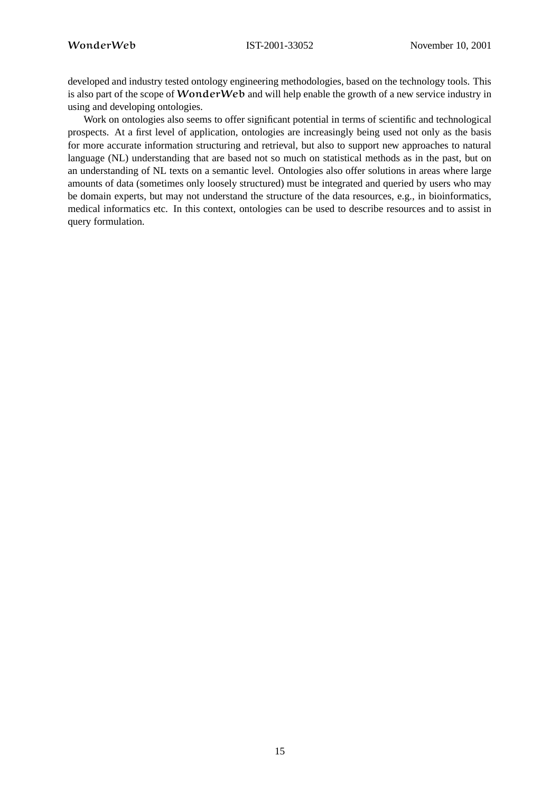developed and industry tested ontology engineering methodologies, based on the technology tools. This is also part of the scope of WonderWeb and will help enable the growth of a new service industry in using and developing ontologies.

Work on ontologies also seems to offer significant potential in terms of scientific and technological prospects. At a first level of application, ontologies are increasingly being used not only as the basis for more accurate information structuring and retrieval, but also to support new approaches to natural language (NL) understanding that are based not so much on statistical methods as in the past, but on an understanding of NL texts on a semantic level. Ontologies also offer solutions in areas where large amounts of data (sometimes only loosely structured) must be integrated and queried by users who may be domain experts, but may not understand the structure of the data resources, e.g., in bioinformatics, medical informatics etc. In this context, ontologies can be used to describe resources and to assist in query formulation.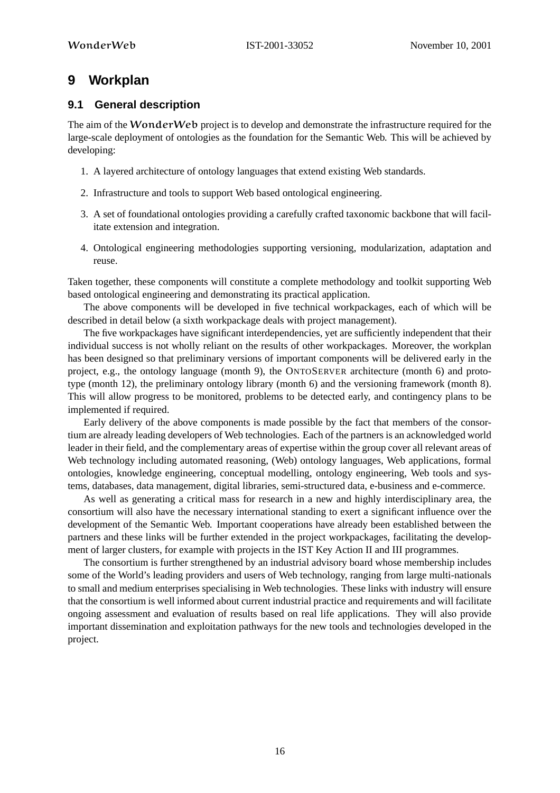# **9 Workplan**

# **9.1 General description**

The aim of the **WonderWeb** project is to develop and demonstrate the infrastructure required for the large-scale deployment of ontologies as the foundation for the Semantic Web. This will be achieved by developing:

- 1. A layered architecture of ontology languages that extend existing Web standards.
- 2. Infrastructure and tools to support Web based ontological engineering.
- 3. A set of foundational ontologies providing a carefully crafted taxonomic backbone that will facilitate extension and integration.
- 4. Ontological engineering methodologies supporting versioning, modularization, adaptation and reuse.

Taken together, these components will constitute a complete methodology and toolkit supporting Web based ontological engineering and demonstrating its practical application.

The above components will be developed in five technical workpackages, each of which will be described in detail below (a sixth workpackage deals with project management).

The five workpackages have significant interdependencies, yet are sufficiently independent that their individual success is not wholly reliant on the results of other workpackages. Moreover, the workplan has been designed so that preliminary versions of important components will be delivered early in the project, e.g., the ontology language (month 9), the ONTOSERVER architecture (month 6) and prototype (month 12), the preliminary ontology library (month 6) and the versioning framework (month 8). This will allow progress to be monitored, problems to be detected early, and contingency plans to be implemented if required.

Early delivery of the above components is made possible by the fact that members of the consortium are already leading developers of Web technologies. Each of the partners is an acknowledged world leader in their field, and the complementary areas of expertise within the group cover all relevant areas of Web technology including automated reasoning, (Web) ontology languages, Web applications, formal ontologies, knowledge engineering, conceptual modelling, ontology engineering, Web tools and systems, databases, data management, digital libraries, semi-structured data, e-business and e-commerce.

As well as generating a critical mass for research in a new and highly interdisciplinary area, the consortium will also have the necessary international standing to exert a significant influence over the development of the Semantic Web. Important cooperations have already been established between the partners and these links will be further extended in the project workpackages, facilitating the development of larger clusters, for example with projects in the IST Key Action II and III programmes.

The consortium is further strengthened by an industrial advisory board whose membership includes some of the World's leading providers and users of Web technology, ranging from large multi-nationals to small and medium enterprises specialising in Web technologies. These links with industry will ensure that the consortium is well informed about current industrial practice and requirements and will facilitate ongoing assessment and evaluation of results based on real life applications. They will also provide important dissemination and exploitation pathways for the new tools and technologies developed in the project.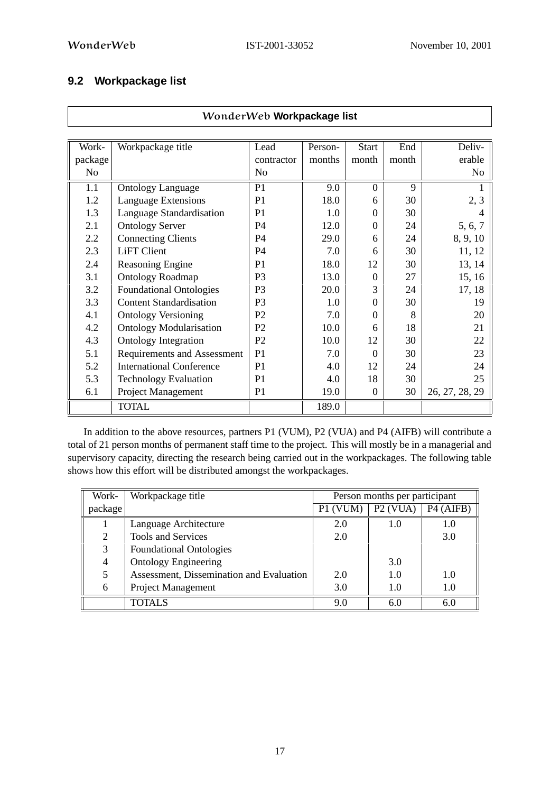# **9.2 Workpackage list**

| WonderWeb Workpackage list |                                 |                |         |                  |       |                |  |  |  |  |  |
|----------------------------|---------------------------------|----------------|---------|------------------|-------|----------------|--|--|--|--|--|
|                            |                                 |                |         |                  |       |                |  |  |  |  |  |
| Work-                      | Workpackage title               | Lead           | Person- | <b>Start</b>     | End   | Deliv-         |  |  |  |  |  |
| package                    |                                 | contractor     | months  | month            | month | erable         |  |  |  |  |  |
| No                         |                                 | No             |         |                  |       | No             |  |  |  |  |  |
| 1.1                        | <b>Ontology Language</b>        | P1             | 9.0     | $\Omega$         | 9     |                |  |  |  |  |  |
| 1.2                        | Language Extensions             | P <sub>1</sub> | 18.0    | 6                | 30    | 2, 3           |  |  |  |  |  |
| 1.3                        | Language Standardisation        | P <sub>1</sub> | 1.0     | $\theta$         | 30    |                |  |  |  |  |  |
| 2.1                        | <b>Ontology Server</b>          | <b>P4</b>      | 12.0    | $\theta$         | 24    | 5, 6, 7        |  |  |  |  |  |
| 2.2                        | <b>Connecting Clients</b>       | P <sub>4</sub> | 29.0    | 6                | 24    | 8, 9, 10       |  |  |  |  |  |
| 2.3                        | <b>LiFT</b> Client              | <b>P4</b>      | 7.0     | 6                | 30    | 11, 12         |  |  |  |  |  |
| 2.4                        | Reasoning Engine                | P <sub>1</sub> | 18.0    | 12               | 30    | 13, 14         |  |  |  |  |  |
| 3.1                        | <b>Ontology Roadmap</b>         | P <sub>3</sub> | 13.0    | $\Omega$         | 27    | 15, 16         |  |  |  |  |  |
| 3.2                        | <b>Foundational Ontologies</b>  | P <sub>3</sub> | 20.0    | 3                | 24    | 17, 18         |  |  |  |  |  |
| 3.3                        | <b>Content Standardisation</b>  | P <sub>3</sub> | 1.0     | $\theta$         | 30    | 19             |  |  |  |  |  |
| 4.1                        | <b>Ontology Versioning</b>      | P <sub>2</sub> | 7.0     | $\Omega$         | 8     | 20             |  |  |  |  |  |
| 4.2                        | <b>Ontology Modularisation</b>  | P <sub>2</sub> | 10.0    | 6                | 18    | 21             |  |  |  |  |  |
| 4.3                        | <b>Ontology Integration</b>     | P <sub>2</sub> | 10.0    | 12               | 30    | 22             |  |  |  |  |  |
| 5.1                        | Requirements and Assessment     | P <sub>1</sub> | 7.0     | $\Omega$         | 30    | 23             |  |  |  |  |  |
| 5.2                        | <b>International Conference</b> | P <sub>1</sub> | 4.0     | 12               | 24    | 24             |  |  |  |  |  |
| 5.3                        | <b>Technology Evaluation</b>    | P <sub>1</sub> | 4.0     | 18               | 30    | 25             |  |  |  |  |  |
| 6.1                        | Project Management              | P1             | 19.0    | $\boldsymbol{0}$ | 30    | 26, 27, 28, 29 |  |  |  |  |  |
|                            | <b>TOTAL</b>                    |                | 189.0   |                  |       |                |  |  |  |  |  |

In addition to the above resources, partners P1 (VUM), P2 (VUA) and P4 (AIFB) will contribute a total of 21 person months of permanent staff time to the project. This will mostly be in a managerial and supervisory capacity, directing the research being carried out in the workpackages. The following table shows how this effort will be distributed amongst the workpackages.

| Work-                | Workpackage title                        | Person months per participant |            |                       |  |
|----------------------|------------------------------------------|-------------------------------|------------|-----------------------|--|
| package <sup>1</sup> |                                          | P1 (VUM)                      | $P2$ (VUA) | P <sub>4</sub> (AIFB) |  |
|                      | Language Architecture                    | 2.0                           | 1.0        | 1.0                   |  |
| 2                    | <b>Tools and Services</b>                | 2.0                           |            | 3.0                   |  |
| 3                    | <b>Foundational Ontologies</b>           |                               |            |                       |  |
| 4                    | <b>Ontology Engineering</b>              |                               | 3.0        |                       |  |
| 5                    | Assessment, Dissemination and Evaluation | 2.0                           | 1.0        | 1.0                   |  |
| 6                    | Project Management                       | 3.0                           |            | 1.0                   |  |
|                      | <b>TOTALS</b>                            | 9.0                           | 6.0        | 6.0                   |  |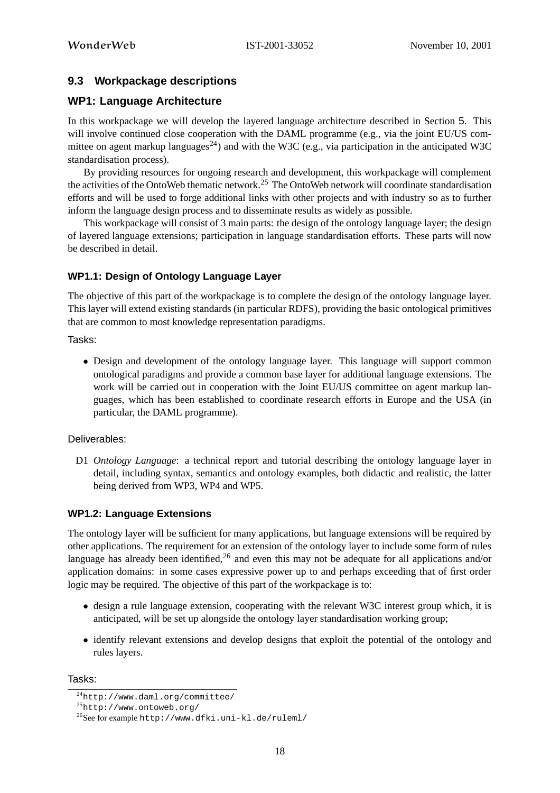# **9.3 Workpackage descriptions**

# **WP1: Language Architecture**

In this workpackage we will develop the layered language architecture described in Section 5. This will involve continued close cooperation with the DAML programme (e.g., via the joint EU/US committee on agent markup languages<sup>24</sup>) and with the W3C (e.g., via participation in the anticipated W3C standardisation process).

By providing resources for ongoing research and development, this workpackage will complement the activities of the OntoWeb thematic network.<sup>25</sup> The OntoWeb network will coordinate standardisation efforts and will be used to forge additional links with other projects and with industry so as to further inform the language design process and to disseminate results as widely as possible.

This workpackage will consist of 3 main parts: the design of the ontology language layer; the design of layered language extensions; participation in language standardisation efforts. These parts will now be described in detail.

# **WP1.1: Design of Ontology Language Layer**

The objective of this part of the workpackage is to complete the design of the ontology language layer. This layer will extend existing standards (in particular RDFS), providing the basic ontological primitives that are common to most knowledge representation paradigms.

Tasks:

• Design and development of the ontology language layer. This language will support common ontological paradigms and provide a common base layer for additional language extensions. The work will be carried out in cooperation with the Joint EU/US committee on agent markup languages, which has been established to coordinate research efforts in Europe and the USA (in particular, the DAML programme).

# Deliverables:

D1 *Ontology Language*: a technical report and tutorial describing the ontology language layer in detail, including syntax, semantics and ontology examples, both didactic and realistic, the latter being derived from WP3, WP4 and WP5.

# **WP1.2: Language Extensions**

The ontology layer will be sufficient for many applications, but language extensions will be required by other applications. The requirement for an extension of the ontology layer to include some form of rules language has already been identified,  $^{26}$  and even this may not be adequate for all applications and/or application domains: in some cases expressive power up to and perhaps exceeding that of first order logic may be required. The objective of this part of the workpackage is to:

- design a rule language extension, cooperating with the relevant W3C interest group which, it is anticipated, will be set up alongside the ontology layer standardisation working group;
- identify relevant extensions and develop designs that exploit the potential of the ontology and rules layers.

Tasks:

<sup>24</sup>http://www.daml.org/committee/

<sup>25</sup>http://www.ontoweb.org/

<sup>26</sup>See for example http://www.dfki.uni-kl.de/ruleml/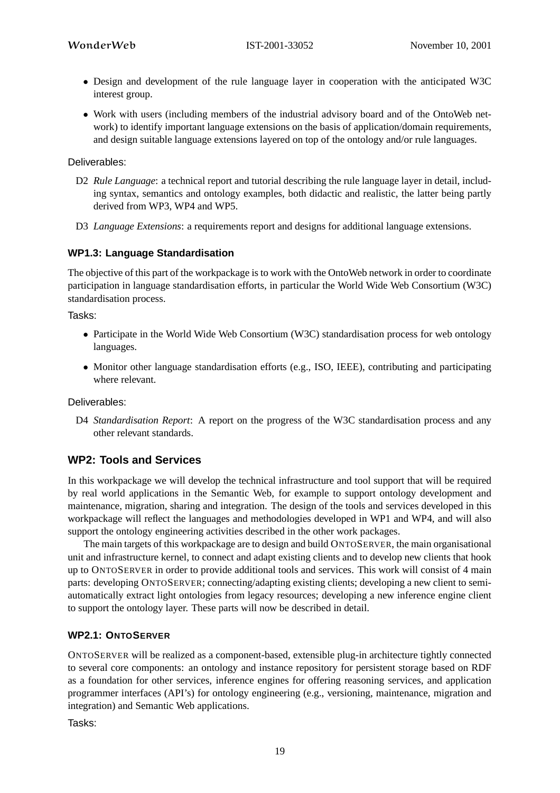- Design and development of the rule language layer in cooperation with the anticipated W3C interest group.
- Work with users (including members of the industrial advisory board and of the OntoWeb network) to identify important language extensions on the basis of application/domain requirements, and design suitable language extensions layered on top of the ontology and/or rule languages.

#### Deliverables:

- D2 *Rule Language*: a technical report and tutorial describing the rule language layer in detail, including syntax, semantics and ontology examples, both didactic and realistic, the latter being partly derived from WP3, WP4 and WP5.
- D3 *Language Extensions*: a requirements report and designs for additional language extensions.

#### **WP1.3: Language Standardisation**

The objective of this part of the workpackage is to work with the OntoWeb network in order to coordinate participation in language standardisation efforts, in particular the World Wide Web Consortium (W3C) standardisation process.

Tasks:

- Participate in the World Wide Web Consortium (W3C) standardisation process for web ontology languages.
- Monitor other language standardisation efforts (e.g., ISO, IEEE), contributing and participating where relevant.

Deliverables:

D4 *Standardisation Report*: A report on the progress of the W3C standardisation process and any other relevant standards.

# **WP2: Tools and Services**

In this workpackage we will develop the technical infrastructure and tool support that will be required by real world applications in the Semantic Web, for example to support ontology development and maintenance, migration, sharing and integration. The design of the tools and services developed in this workpackage will reflect the languages and methodologies developed in WP1 and WP4, and will also support the ontology engineering activities described in the other work packages.

The main targets of this workpackage are to design and build ONTOSERVER, the main organisational unit and infrastructure kernel, to connect and adapt existing clients and to develop new clients that hook up to ONTOSERVER in order to provide additional tools and services. This work will consist of 4 main parts: developing ONTOSERVER; connecting/adapting existing clients; developing a new client to semiautomatically extract light ontologies from legacy resources; developing a new inference engine client to support the ontology layer. These parts will now be described in detail.

#### **WP2.1: ONTOSERVER**

ONTOSERVER will be realized as a component-based, extensible plug-in architecture tightly connected to several core components: an ontology and instance repository for persistent storage based on RDF as a foundation for other services, inference engines for offering reasoning services, and application programmer interfaces (API's) for ontology engineering (e.g., versioning, maintenance, migration and integration) and Semantic Web applications.

Tasks: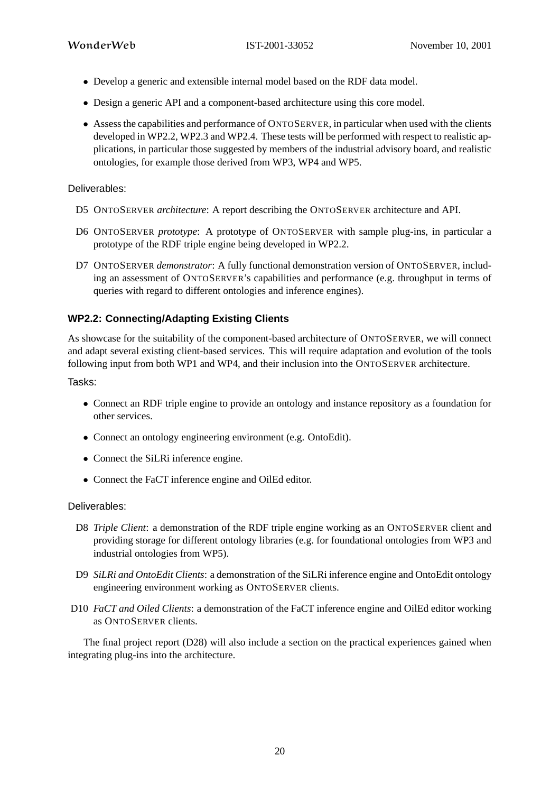- Develop a generic and extensible internal model based on the RDF data model.
- Design a generic API and a component-based architecture using this core model.
- Assess the capabilities and performance of ONTOSERVER, in particular when used with the clients developed in WP2.2, WP2.3 and WP2.4. These tests will be performed with respect to realistic applications, in particular those suggested by members of the industrial advisory board, and realistic ontologies, for example those derived from WP3, WP4 and WP5.

#### Deliverables:

- D5 ONTOSERVER *architecture*: A report describing the ONTOSERVER architecture and API.
- D6 ONTOSERVER *prototype*: A prototype of ONTOSERVER with sample plug-ins, in particular a prototype of the RDF triple engine being developed in WP2.2.
- D7 ONTOSERVER *demonstrator*: A fully functional demonstration version of ONTOSERVER, including an assessment of ONTOSERVER's capabilities and performance (e.g. throughput in terms of queries with regard to different ontologies and inference engines).

# **WP2.2: Connecting/Adapting Existing Clients**

As showcase for the suitability of the component-based architecture of ONTOSERVER, we will connect and adapt several existing client-based services. This will require adaptation and evolution of the tools following input from both WP1 and WP4, and their inclusion into the ONTOSERVER architecture.

Tasks:

- Connect an RDF triple engine to provide an ontology and instance repository as a foundation for other services.
- Connect an ontology engineering environment (e.g. OntoEdit).
- Connect the SiLRi inference engine.
- Connect the FaCT inference engine and OilEd editor.

#### Deliverables:

- D8 *Triple Client*: a demonstration of the RDF triple engine working as an ONTOSERVER client and providing storage for different ontology libraries (e.g. for foundational ontologies from WP3 and industrial ontologies from WP5).
- D9 *SiLRi and OntoEdit Clients*: a demonstration of the SiLRi inference engine and OntoEdit ontology engineering environment working as ONTOSERVER clients.
- D10 *FaCT and Oiled Clients*: a demonstration of the FaCT inference engine and OilEd editor working as ONTOSERVER clients.

The final project report (D28) will also include a section on the practical experiences gained when integrating plug-ins into the architecture.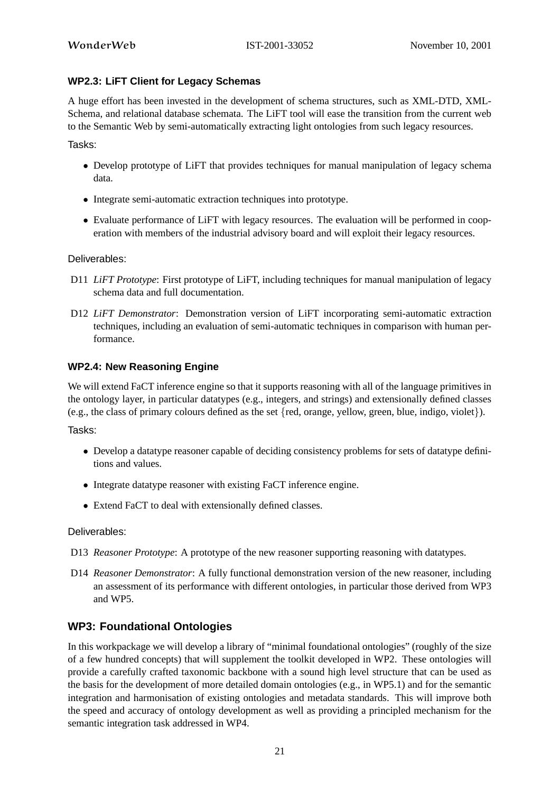# **WP2.3: LiFT Client for Legacy Schemas**

A huge effort has been invested in the development of schema structures, such as XML-DTD, XML-Schema, and relational database schemata. The LiFT tool will ease the transition from the current web to the Semantic Web by semi-automatically extracting light ontologies from such legacy resources.

Tasks:

- Develop prototype of LiFT that provides techniques for manual manipulation of legacy schema data.
- Integrate semi-automatic extraction techniques into prototype.
- Evaluate performance of LiFT with legacy resources. The evaluation will be performed in cooperation with members of the industrial advisory board and will exploit their legacy resources.

#### Deliverables:

- D11 *LiFT Prototype*: First prototype of LiFT, including techniques for manual manipulation of legacy schema data and full documentation.
- D12 *LiFT Demonstrator*: Demonstration version of LiFT incorporating semi-automatic extraction techniques, including an evaluation of semi-automatic techniques in comparison with human performance.

#### **WP2.4: New Reasoning Engine**

We will extend FaCT inference engine so that it supports reasoning with all of the language primitives in the ontology layer, in particular datatypes (e.g., integers, and strings) and extensionally defined classes (e.g., the class of primary colours defined as the set {red, orange, yellow, green, blue, indigo, violet}).

Tasks:

- Develop a datatype reasoner capable of deciding consistency problems for sets of datatype definitions and values.
- Integrate datatype reasoner with existing FaCT inference engine.
- Extend FaCT to deal with extensionally defined classes.

#### Deliverables:

- D13 *Reasoner Prototype*: A prototype of the new reasoner supporting reasoning with datatypes.
- D14 *Reasoner Demonstrator*: A fully functional demonstration version of the new reasoner, including an assessment of its performance with different ontologies, in particular those derived from WP3 and WP5.

# **WP3: Foundational Ontologies**

In this workpackage we will develop a library of "minimal foundational ontologies" (roughly of the size of a few hundred concepts) that will supplement the toolkit developed in WP2. These ontologies will provide a carefully crafted taxonomic backbone with a sound high level structure that can be used as the basis for the development of more detailed domain ontologies (e.g., in WP5.1) and for the semantic integration and harmonisation of existing ontologies and metadata standards. This will improve both the speed and accuracy of ontology development as well as providing a principled mechanism for the semantic integration task addressed in WP4.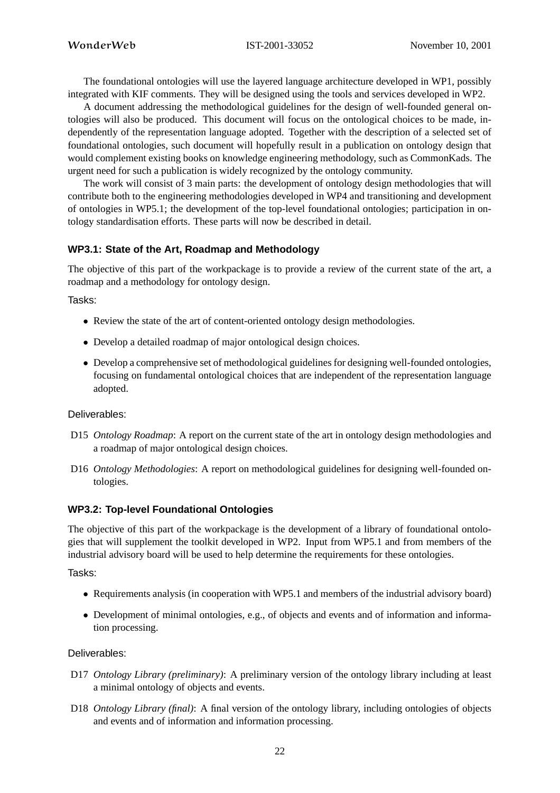The foundational ontologies will use the layered language architecture developed in WP1, possibly integrated with KIF comments. They will be designed using the tools and services developed in WP2.

A document addressing the methodological guidelines for the design of well-founded general ontologies will also be produced. This document will focus on the ontological choices to be made, independently of the representation language adopted. Together with the description of a selected set of foundational ontologies, such document will hopefully result in a publication on ontology design that would complement existing books on knowledge engineering methodology, such as CommonKads. The urgent need for such a publication is widely recognized by the ontology community.

The work will consist of 3 main parts: the development of ontology design methodologies that will contribute both to the engineering methodologies developed in WP4 and transitioning and development of ontologies in WP5.1; the development of the top-level foundational ontologies; participation in ontology standardisation efforts. These parts will now be described in detail.

#### **WP3.1: State of the Art, Roadmap and Methodology**

The objective of this part of the workpackage is to provide a review of the current state of the art, a roadmap and a methodology for ontology design.

Tasks:

- Review the state of the art of content-oriented ontology design methodologies.
- Develop a detailed roadmap of major ontological design choices.
- Develop a comprehensive set of methodological guidelines for designing well-founded ontologies, focusing on fundamental ontological choices that are independent of the representation language adopted.

#### Deliverables:

- D15 *Ontology Roadmap*: A report on the current state of the art in ontology design methodologies and a roadmap of major ontological design choices.
- D16 *Ontology Methodologies*: A report on methodological guidelines for designing well-founded ontologies.

# **WP3.2: Top-level Foundational Ontologies**

The objective of this part of the workpackage is the development of a library of foundational ontologies that will supplement the toolkit developed in WP2. Input from WP5.1 and from members of the industrial advisory board will be used to help determine the requirements for these ontologies.

#### Tasks:

- Requirements analysis (in cooperation with WP5.1 and members of the industrial advisory board)
- Development of minimal ontologies, e.g., of objects and events and of information and information processing.

#### Deliverables:

- D17 *Ontology Library (preliminary)*: A preliminary version of the ontology library including at least a minimal ontology of objects and events.
- D18 *Ontology Library (final)*: A final version of the ontology library, including ontologies of objects and events and of information and information processing.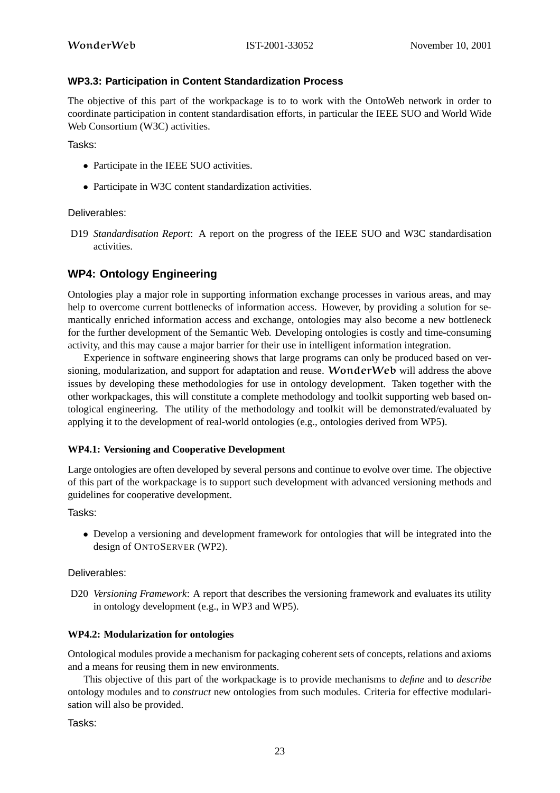#### **WP3.3: Participation in Content Standardization Process**

The objective of this part of the workpackage is to to work with the OntoWeb network in order to coordinate participation in content standardisation efforts, in particular the IEEE SUO and World Wide Web Consortium (W3C) activities.

Tasks:

- Participate in the IEEE SUO activities.
- Participate in W3C content standardization activities.

Deliverables:

D19 *Standardisation Report*: A report on the progress of the IEEE SUO and W3C standardisation activities.

# **WP4: Ontology Engineering**

Ontologies play a major role in supporting information exchange processes in various areas, and may help to overcome current bottlenecks of information access. However, by providing a solution for semantically enriched information access and exchange, ontologies may also become a new bottleneck for the further development of the Semantic Web. Developing ontologies is costly and time-consuming activity, and this may cause a major barrier for their use in intelligent information integration.

Experience in software engineering shows that large programs can only be produced based on versioning, modularization, and support for adaptation and reuse. WonderWeb will address the above issues by developing these methodologies for use in ontology development. Taken together with the other workpackages, this will constitute a complete methodology and toolkit supporting web based ontological engineering. The utility of the methodology and toolkit will be demonstrated/evaluated by applying it to the development of real-world ontologies (e.g., ontologies derived from WP5).

#### **WP4.1: Versioning and Cooperative Development**

Large ontologies are often developed by several persons and continue to evolve over time. The objective of this part of the workpackage is to support such development with advanced versioning methods and guidelines for cooperative development.

#### Tasks:

• Develop a versioning and development framework for ontologies that will be integrated into the design of ONTOSERVER (WP2).

#### Deliverables:

D20 *Versioning Framework*: A report that describes the versioning framework and evaluates its utility in ontology development (e.g., in WP3 and WP5).

#### **WP4.2: Modularization for ontologies**

Ontological modules provide a mechanism for packaging coherent sets of concepts, relations and axioms and a means for reusing them in new environments.

This objective of this part of the workpackage is to provide mechanisms to *define* and to *describe* ontology modules and to *construct* new ontologies from such modules. Criteria for effective modularisation will also be provided.

Tasks: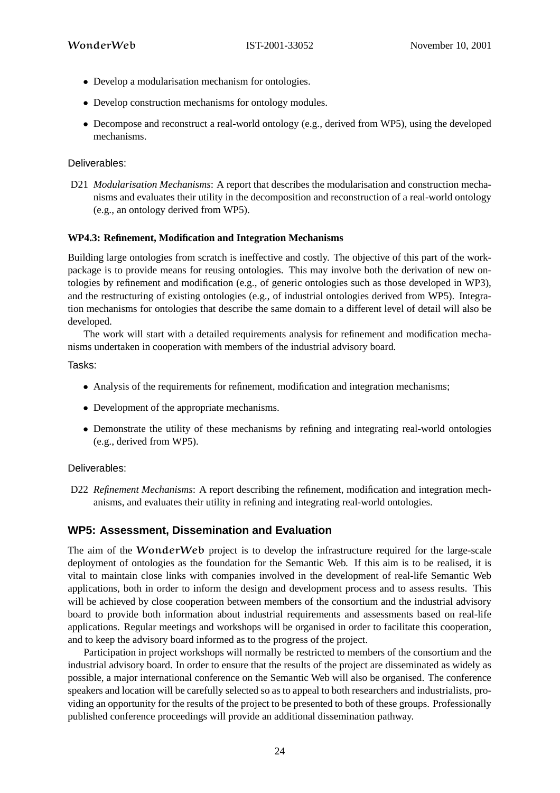- Develop a modularisation mechanism for ontologies.
- Develop construction mechanisms for ontology modules.
- Decompose and reconstruct a real-world ontology (e.g., derived from WP5), using the developed mechanisms.

Deliverables:

D21 *Modularisation Mechanisms*: A report that describes the modularisation and construction mechanisms and evaluates their utility in the decomposition and reconstruction of a real-world ontology (e.g., an ontology derived from WP5).

#### **WP4.3: Refinement, Modification and Integration Mechanisms**

Building large ontologies from scratch is ineffective and costly. The objective of this part of the workpackage is to provide means for reusing ontologies. This may involve both the derivation of new ontologies by refinement and modification (e.g., of generic ontologies such as those developed in WP3), and the restructuring of existing ontologies (e.g., of industrial ontologies derived from WP5). Integration mechanisms for ontologies that describe the same domain to a different level of detail will also be developed.

The work will start with a detailed requirements analysis for refinement and modification mechanisms undertaken in cooperation with members of the industrial advisory board.

Tasks:

- Analysis of the requirements for refinement, modification and integration mechanisms;
- Development of the appropriate mechanisms.
- Demonstrate the utility of these mechanisms by refining and integrating real-world ontologies (e.g., derived from WP5).

#### Deliverables:

D22 *Refinement Mechanisms*: A report describing the refinement, modification and integration mechanisms, and evaluates their utility in refining and integrating real-world ontologies.

# **WP5: Assessment, Dissemination and Evaluation**

The aim of the WonderWeb project is to develop the infrastructure required for the large-scale deployment of ontologies as the foundation for the Semantic Web. If this aim is to be realised, it is vital to maintain close links with companies involved in the development of real-life Semantic Web applications, both in order to inform the design and development process and to assess results. This will be achieved by close cooperation between members of the consortium and the industrial advisory board to provide both information about industrial requirements and assessments based on real-life applications. Regular meetings and workshops will be organised in order to facilitate this cooperation, and to keep the advisory board informed as to the progress of the project.

Participation in project workshops will normally be restricted to members of the consortium and the industrial advisory board. In order to ensure that the results of the project are disseminated as widely as possible, a major international conference on the Semantic Web will also be organised. The conference speakers and location will be carefully selected so as to appeal to both researchers and industrialists, providing an opportunity for the results of the project to be presented to both of these groups. Professionally published conference proceedings will provide an additional dissemination pathway.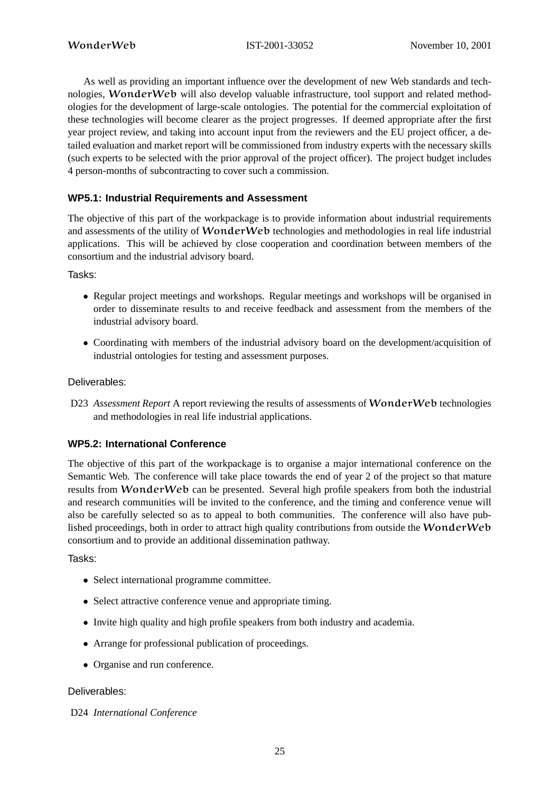As well as providing an important influence over the development of new Web standards and technologies, WonderWeb will also develop valuable infrastructure, tool support and related methodologies for the development of large-scale ontologies. The potential for the commercial exploitation of these technologies will become clearer as the project progresses. If deemed appropriate after the first year project review, and taking into account input from the reviewers and the EU project officer, a detailed evaluation and market report will be commissioned from industry experts with the necessary skills (such experts to be selected with the prior approval of the project officer). The project budget includes 4 person-months of subcontracting to cover such a commission.

# **WP5.1: Industrial Requirements and Assessment**

The objective of this part of the workpackage is to provide information about industrial requirements and assessments of the utility of WonderWeb technologies and methodologies in real life industrial applications. This will be achieved by close cooperation and coordination between members of the consortium and the industrial advisory board.

Tasks:

- Regular project meetings and workshops. Regular meetings and workshops will be organised in order to disseminate results to and receive feedback and assessment from the members of the industrial advisory board.
- Coordinating with members of the industrial advisory board on the development/acquisition of industrial ontologies for testing and assessment purposes.

# Deliverables:

D23 *Assessment Report* A report reviewing the results of assessments of WonderWeb technologies and methodologies in real life industrial applications.

# **WP5.2: International Conference**

The objective of this part of the workpackage is to organise a major international conference on the Semantic Web. The conference will take place towards the end of year 2 of the project so that mature results from WonderWeb can be presented. Several high profile speakers from both the industrial and research communities will be invited to the conference, and the timing and conference venue will also be carefully selected so as to appeal to both communities. The conference will also have published proceedings, both in order to attract high quality contributions from outside the WonderWeb consortium and to provide an additional dissemination pathway.

Tasks:

- Select international programme committee.
- Select attractive conference venue and appropriate timing.
- Invite high quality and high profile speakers from both industry and academia.
- Arrange for professional publication of proceedings.
- Organise and run conference.

#### Deliverables:

#### D24 *International Conference*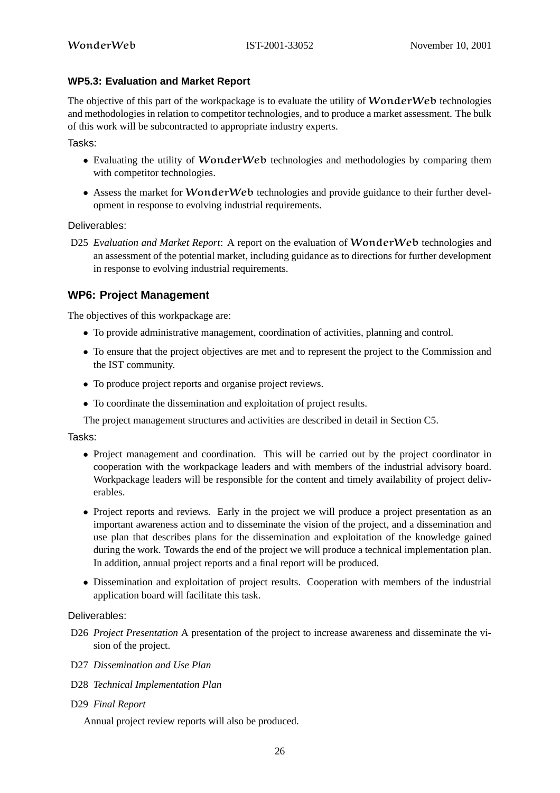#### **WP5.3: Evaluation and Market Report**

The objective of this part of the workpackage is to evaluate the utility of **WonderWeb** technologies and methodologies in relation to competitor technologies, and to produce a market assessment. The bulk of this work will be subcontracted to appropriate industry experts.

Tasks:

- Evaluating the utility of **WonderWeb** technologies and methodologies by comparing them with competitor technologies.
- Assess the market for **WonderWeb** technologies and provide guidance to their further development in response to evolving industrial requirements.

#### Deliverables:

D25 *Evaluation and Market Report*: A report on the evaluation of WonderWeb technologies and an assessment of the potential market, including guidance as to directions for further development in response to evolving industrial requirements.

# **WP6: Project Management**

The objectives of this workpackage are:

- To provide administrative management, coordination of activities, planning and control.
- To ensure that the project objectives are met and to represent the project to the Commission and the IST community.
- To produce project reports and organise project reviews.
- To coordinate the dissemination and exploitation of project results.
- The project management structures and activities are described in detail in Section C5.

Tasks:

- Project management and coordination. This will be carried out by the project coordinator in cooperation with the workpackage leaders and with members of the industrial advisory board. Workpackage leaders will be responsible for the content and timely availability of project deliverables.
- Project reports and reviews. Early in the project we will produce a project presentation as an important awareness action and to disseminate the vision of the project, and a dissemination and use plan that describes plans for the dissemination and exploitation of the knowledge gained during the work. Towards the end of the project we will produce a technical implementation plan. In addition, annual project reports and a final report will be produced.
- Dissemination and exploitation of project results. Cooperation with members of the industrial application board will facilitate this task.

#### Deliverables:

- D26 *Project Presentation* A presentation of the project to increase awareness and disseminate the vision of the project.
- D27 *Dissemination and Use Plan*
- D28 *Technical Implementation Plan*
- D29 *Final Report*

Annual project review reports will also be produced.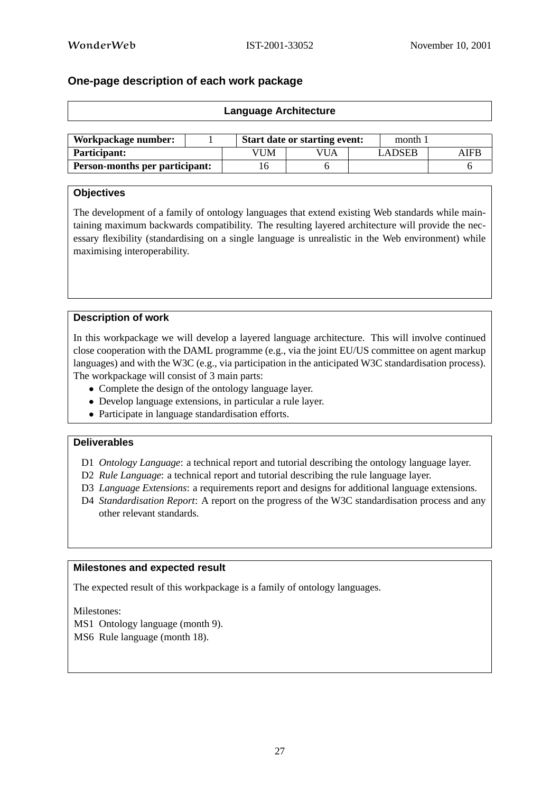$\overline{\Gamma}$ 

# **One-page description of each work package**

| <b>Language Architecture</b> |  |     |                                      |  |               |      |  |  |
|------------------------------|--|-----|--------------------------------------|--|---------------|------|--|--|
|                              |  |     |                                      |  |               |      |  |  |
| Workpackage number:          |  |     | <b>Start date or starting event:</b> |  |               |      |  |  |
| <b>Participant:</b>          |  | VUM | VUA                                  |  | <b>LADSEB</b> | AIFB |  |  |

**Person-months per participant:** 16 6 6

#### **Objectives**

The development of a family of ontology languages that extend existing Web standards while maintaining maximum backwards compatibility. The resulting layered architecture will provide the necessary flexibility (standardising on a single language is unrealistic in the Web environment) while maximising interoperability.

#### **Description of work**

In this workpackage we will develop a layered language architecture. This will involve continued close cooperation with the DAML programme (e.g., via the joint EU/US committee on agent markup languages) and with the W3C (e.g., via participation in the anticipated W3C standardisation process). The workpackage will consist of 3 main parts:

- Complete the design of the ontology language layer.
- Develop language extensions, in particular a rule layer.
- Participate in language standardisation efforts.

#### **Deliverables**

- D1 *Ontology Language*: a technical report and tutorial describing the ontology language layer.
- D2 *Rule Language*: a technical report and tutorial describing the rule language layer.
- D3 *Language Extensions*: a requirements report and designs for additional language extensions.
- D4 *Standardisation Report*: A report on the progress of the W3C standardisation process and any other relevant standards.

#### **Milestones and expected result**

The expected result of this workpackage is a family of ontology languages.

Milestones:

MS1 Ontology language (month 9). MS6 Rule language (month 18).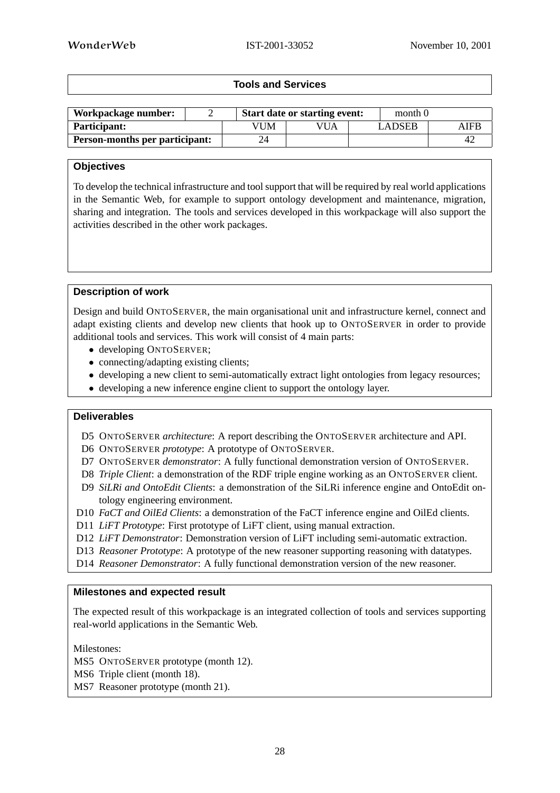# **Tools and Services**

| Workpackage number:                   |     | <b>Start date or starting event:</b> | month 0       |      |
|---------------------------------------|-----|--------------------------------------|---------------|------|
| <b>Participant:</b>                   | √UM | VUA                                  | <b>LADSEB</b> | AIFB |
| <b>Person-months per participant:</b> | 24  |                                      |               | 4.   |

#### **Objectives**

To develop the technical infrastructure and toolsupport that will be required by real world applications in the Semantic Web, for example to support ontology development and maintenance, migration, sharing and integration. The tools and services developed in this workpackage will also support the activities described in the other work packages.

#### **Description of work**

Design and build ONTOSERVER, the main organisational unit and infrastructure kernel, connect and adapt existing clients and develop new clients that hook up to ONTOSERVER in order to provide additional tools and services. This work will consist of 4 main parts:

- developing ONTOSERVER;
- connecting/adapting existing clients;
- developing a new client to semi-automatically extract light ontologies from legacy resources;
- developing a new inference engine client to support the ontology layer.

#### **Deliverables**

- D5 ONTOSERVER *architecture*: A report describing the ONTOSERVER architecture and API.
- D6 ONTOSERVER *prototype*: A prototype of ONTOSERVER.
- D7 ONTOSERVER *demonstrator*: A fully functional demonstration version of ONTOSERVER.
- D8 *Triple Client*: a demonstration of the RDF triple engine working as an ONTOSERVER client.
- D9 *SiLRi and OntoEdit Clients*: a demonstration of the SiLRi inference engine and OntoEdit ontology engineering environment.
- D10 *FaCT and OilEd Clients*: a demonstration of the FaCT inference engine and OilEd clients.
- D11 *LiFT Prototype*: First prototype of LiFT client, using manual extraction.
- D12 *LiFT Demonstrator*: Demonstration version of LiFT including semi-automatic extraction.
- D13 *Reasoner Prototype*: A prototype of the new reasoner supporting reasoning with datatypes.
- D14 *Reasoner Demonstrator*: A fully functional demonstration version of the new reasoner.

#### **Milestones and expected result**

The expected result of this workpackage is an integrated collection of tools and services supporting real-world applications in the Semantic Web.

Milestones:

- MS5 ONTOSERVER prototype (month 12).
- MS6 Triple client (month 18).
- MS7 Reasoner prototype (month 21).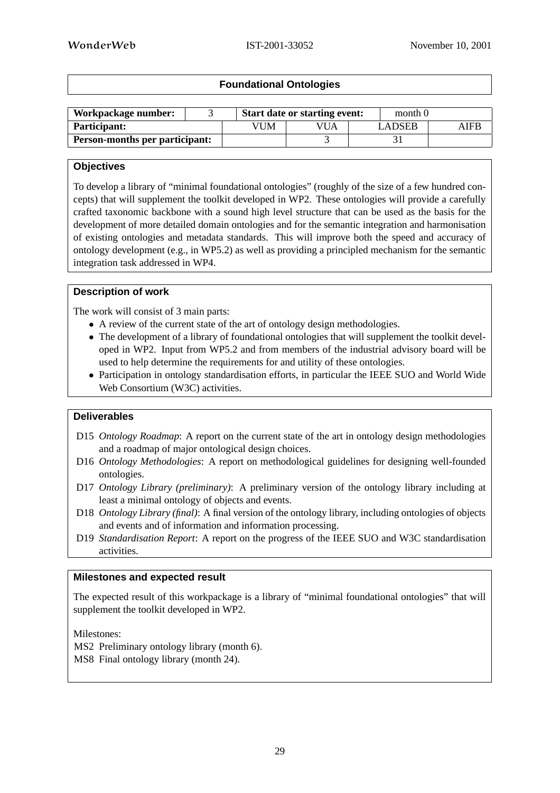# **Foundational Ontologies**

| Workpackage number:                   |  |     | <b>Start date or starting event:</b> |  | month 0 |      |
|---------------------------------------|--|-----|--------------------------------------|--|---------|------|
| Participant:                          |  | VUM | VUA                                  |  | LADSEB  | AIFB |
| <b>Person-months per participant:</b> |  |     |                                      |  |         |      |

# **Objectives**

To develop a library of "minimal foundational ontologies" (roughly of the size of a few hundred concepts) that will supplement the toolkit developed in WP2. These ontologies will provide a carefully crafted taxonomic backbone with a sound high level structure that can be used as the basis for the development of more detailed domain ontologies and for the semantic integration and harmonisation of existing ontologies and metadata standards. This will improve both the speed and accuracy of ontology development (e.g., in WP5.2) as well as providing a principled mechanism for the semantic integration task addressed in WP4.

#### **Description of work**

The work will consist of 3 main parts:

- A review of the current state of the art of ontology design methodologies.
- The development of a library of foundational ontologies that will supplement the toolkit developed in WP2. Input from WP5.2 and from members of the industrial advisory board will be used to help determine the requirements for and utility of these ontologies.
- Participation in ontology standardisation efforts, in particular the IEEE SUO and World Wide Web Consortium (W3C) activities.

#### **Deliverables**

- D15 *Ontology Roadmap*: A report on the current state of the art in ontology design methodologies and a roadmap of major ontological design choices.
- D16 *Ontology Methodologies*: A report on methodological guidelines for designing well-founded ontologies.
- D17 *Ontology Library (preliminary)*: A preliminary version of the ontology library including at least a minimal ontology of objects and events.
- D18 *Ontology Library (final)*: A final version of the ontology library, including ontologies of objects and events and of information and information processing.
- D19 *Standardisation Report*: A report on the progress of the IEEE SUO and W3C standardisation activities.

#### **Milestones and expected result**

The expected result of this workpackage is a library of "minimal foundational ontologies" that will supplement the toolkit developed in WP2.

Milestones:

MS2 Preliminary ontology library (month 6).

MS8 Final ontology library (month 24).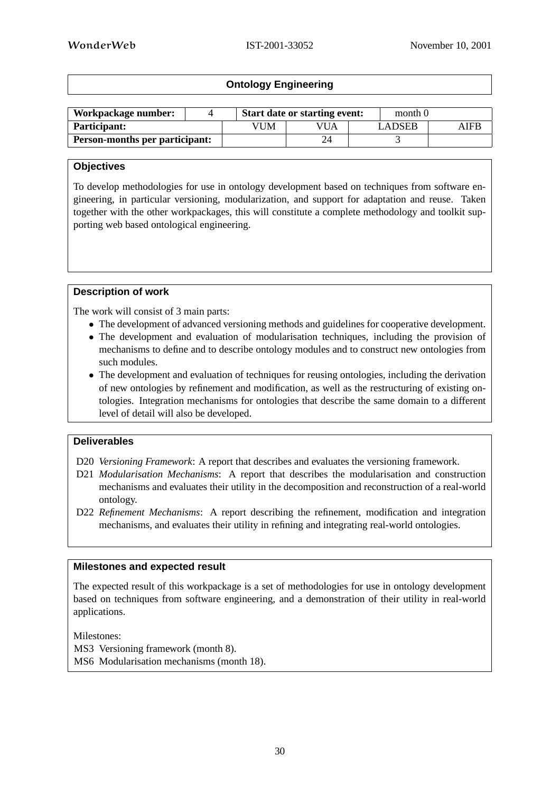# **Ontology Engineering**

| Workpackage number:                   |     | <b>Start date or starting event:</b> |  | month 0       |      |
|---------------------------------------|-----|--------------------------------------|--|---------------|------|
| <b>Participant:</b>                   | VUM | VUA                                  |  | <b>LADSEB</b> | AIFB |
| <b>Person-months per participant:</b> |     |                                      |  |               |      |

# **Objectives**

To develop methodologies for use in ontology development based on techniques from software engineering, in particular versioning, modularization, and support for adaptation and reuse. Taken together with the other workpackages, this will constitute a complete methodology and toolkit supporting web based ontological engineering.

# **Description of work**

The work will consist of 3 main parts:

- The development of advanced versioning methods and guidelines for cooperative development.
- The development and evaluation of modularisation techniques, including the provision of mechanisms to define and to describe ontology modules and to construct new ontologies from such modules.
- The development and evaluation of techniques for reusing ontologies, including the derivation of new ontologies by refinement and modification, as well as the restructuring of existing ontologies. Integration mechanisms for ontologies that describe the same domain to a different level of detail will also be developed.

# **Deliverables**

- D20 *Versioning Framework*: A report that describes and evaluates the versioning framework.
- D21 *Modularisation Mechanisms*: A report that describes the modularisation and construction mechanisms and evaluates their utility in the decomposition and reconstruction of a real-world ontology.
- D22 *Refinement Mechanisms*: A report describing the refinement, modification and integration mechanisms, and evaluates their utility in refining and integrating real-world ontologies.

# **Milestones and expected result**

The expected result of this workpackage is a set of methodologies for use in ontology development based on techniques from software engineering, and a demonstration of their utility in real-world applications.

Milestones: MS3 Versioning framework (month 8). MS6 Modularisation mechanisms (month 18).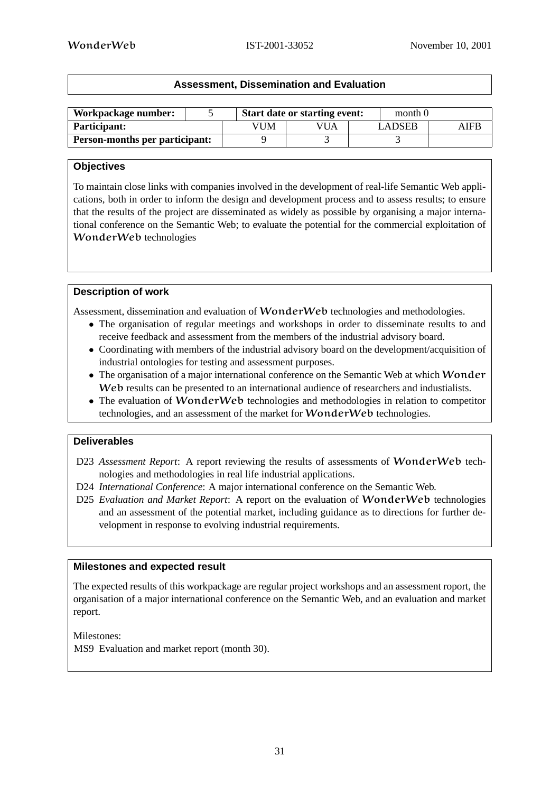| <b>Assessment, Dissemination and Evaluation</b> |
|-------------------------------------------------|
|-------------------------------------------------|

| Workpackage number:                   |     | <b>Start date or starting event:</b> | month 0       |      |
|---------------------------------------|-----|--------------------------------------|---------------|------|
| <b>Participant:</b>                   | VUM | VUA                                  | <b>LADSEB</b> | AIFB |
| <b>Person-months per participant:</b> |     |                                      |               |      |

#### **Objectives**

To maintain close links with companies involved in the development of real-life Semantic Web applications, both in order to inform the design and development process and to assess results; to ensure that the results of the project are disseminated as widely as possible by organising a major international conference on the Semantic Web; to evaluate the potential for the commercial exploitation of WonderWeb technologies

#### **Description of work**

Assessment, dissemination and evaluation of WonderWeb technologies and methodologies.

- The organisation of regular meetings and workshops in order to disseminate results to and receive feedback and assessment from the members of the industrial advisory board.
- Coordinating with members of the industrial advisory board on the development/acquisition of industrial ontologies for testing and assessment purposes.
- The organisation of a major international conference on the Semantic Web at which Wonder Web results can be presented to an international audience of researchers and industialists.
- The evaluation of WonderWeb technologies and methodologies in relation to competitor technologies, and an assessment of the market for WonderWeb technologies.

#### **Deliverables**

- D23 *Assessment Report*: A report reviewing the results of assessments of WonderWeb technologies and methodologies in real life industrial applications.
- D24 *International Conference*: A major international conference on the Semantic Web.
- D25 *Evaluation and Market Report*: A report on the evaluation of WonderWeb technologies and an assessment of the potential market, including guidance as to directions for further development in response to evolving industrial requirements.

#### **Milestones and expected result**

The expected results of this workpackage are regular project workshops and an assessment roport, the organisation of a major international conference on the Semantic Web, and an evaluation and market report.

Milestones: MS9 Evaluation and market report (month 30).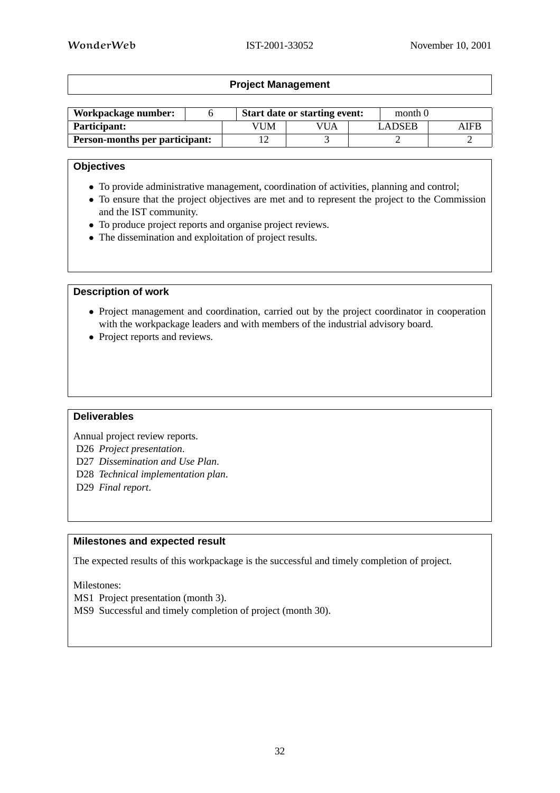# **Project Management**

| Workpackage number:                   |     | <b>Start date or starting event:</b> |  |        | month 0 |
|---------------------------------------|-----|--------------------------------------|--|--------|---------|
| <b>Participant:</b>                   | √UM | VUA                                  |  | LADSEB | AIFB    |
| <b>Person-months per participant:</b> |     |                                      |  |        |         |

#### **Objectives**

- To provide administrative management, coordination of activities, planning and control;
- To ensure that the project objectives are met and to represent the project to the Commission and the IST community.
- To produce project reports and organise project reviews.
- The dissemination and exploitation of project results.

#### **Description of work**

- Project management and coordination, carried out by the project coordinator in cooperation with the workpackage leaders and with members of the industrial advisory board.
- Project reports and reviews.

# **Deliverables**

Annual project review reports.

- D26 *Project presentation*.
- D27 *Dissemination and Use Plan*.
- D28 *Technical implementation plan*.
- D29 *Final report*.

#### **Milestones and expected result**

The expected results of this workpackage is the successful and timely completion of project.

Milestones:

MS1 Project presentation (month 3).

MS9 Successful and timely completion of project (month 30).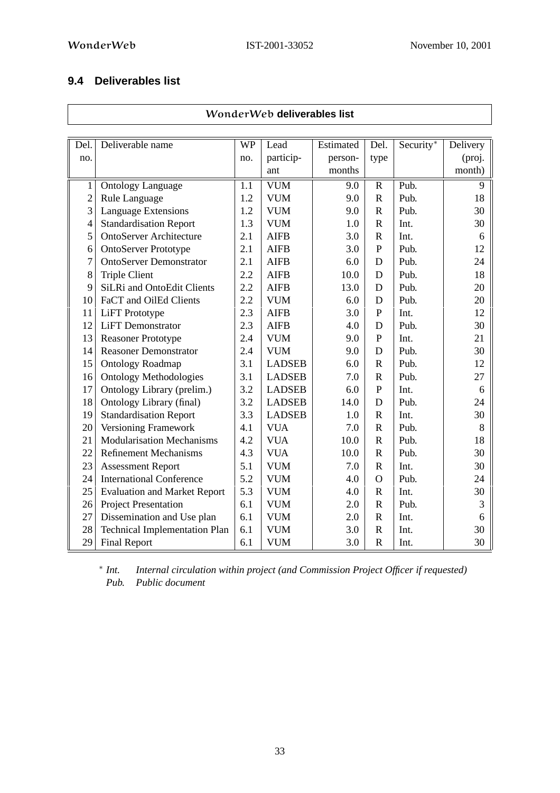# **9.4 Deliverables list**

|                |                                      |           | WonderWeb deliverables list |           |                       |           |          |  |  |  |  |  |  |
|----------------|--------------------------------------|-----------|-----------------------------|-----------|-----------------------|-----------|----------|--|--|--|--|--|--|
|                |                                      |           |                             |           |                       |           |          |  |  |  |  |  |  |
| Del.           | Deliverable name                     | <b>WP</b> | Lead                        | Estimated | Del.                  | Security* | Delivery |  |  |  |  |  |  |
| no.            |                                      | no.       | particip-                   | person-   | type                  |           | (proj.   |  |  |  |  |  |  |
|                |                                      |           | ant                         | months    |                       |           | month)   |  |  |  |  |  |  |
| $\mathbf{1}$   | <b>Ontology Language</b>             | 1.1       | <b>VUM</b>                  | 9.0       | $\mathbf R$           | Pub.      | 9        |  |  |  |  |  |  |
| $\overline{c}$ | Rule Language                        | 1.2       | <b>VUM</b>                  | 9.0       | $\overline{\text{R}}$ | Pub.      | 18       |  |  |  |  |  |  |
| $\overline{3}$ | <b>Language Extensions</b>           | 1.2       | <b>VUM</b>                  | 9.0       | $\mathbf R$           | Pub.      | 30       |  |  |  |  |  |  |
| $\overline{4}$ | <b>Standardisation Report</b>        | 1.3       | <b>VUM</b>                  | 1.0       | $\mathbf R$           | Int.      | 30       |  |  |  |  |  |  |
| 5              | <b>OntoServer Architecture</b>       | 2.1       | <b>AIFB</b>                 | 3.0       | $\mathbf R$           | Int.      | 6        |  |  |  |  |  |  |
| 6              | <b>OntoServer Prototype</b>          | 2.1       | <b>AIFB</b>                 | 3.0       | ${\bf P}$             | Pub.      | 12       |  |  |  |  |  |  |
| $\tau$         | <b>OntoServer Demonstrator</b>       | 2.1       | <b>AIFB</b>                 | 6.0       | D                     | Pub.      | 24       |  |  |  |  |  |  |
| 8              | <b>Triple Client</b>                 | 2.2       | <b>AIFB</b>                 | 10.0      | $\mathbf D$           | Pub.      | 18       |  |  |  |  |  |  |
| 9              | SiLRi and OntoEdit Clients           | 2.2       | <b>AIFB</b>                 | 13.0      | D                     | Pub.      | 20       |  |  |  |  |  |  |
| 10             | FaCT and OilEd Clients               | 2.2       | <b>VUM</b>                  | 6.0       | D                     | Pub.      | 20       |  |  |  |  |  |  |
| 11             | LiFT Prototype                       | 2.3       | <b>AIFB</b>                 | 3.0       | $\mathbf{P}$          | Int.      | 12       |  |  |  |  |  |  |
| 12             | <b>LiFT</b> Demonstrator             | 2.3       | <b>AIFB</b>                 | 4.0       | D                     | Pub.      | 30       |  |  |  |  |  |  |
| 13             | <b>Reasoner Prototype</b>            | 2.4       | <b>VUM</b>                  | 9.0       | ${\bf P}$             | Int.      | 21       |  |  |  |  |  |  |
| 14             | <b>Reasoner Demonstrator</b>         | 2.4       | <b>VUM</b>                  | 9.0       | D                     | Pub.      | 30       |  |  |  |  |  |  |
| 15             | <b>Ontology Roadmap</b>              | 3.1       | <b>LADSEB</b>               | 6.0       | $\mathbf R$           | Pub.      | 12       |  |  |  |  |  |  |
| 16             | <b>Ontology Methodologies</b>        | 3.1       | <b>LADSEB</b>               | 7.0       | $\mathbf R$           | Pub.      | 27       |  |  |  |  |  |  |
| 17             | Ontology Library (prelim.)           | 3.2       | <b>LADSEB</b>               | 6.0       | $\overline{P}$        | Int.      | 6        |  |  |  |  |  |  |
| 18             | Ontology Library (final)             | 3.2       | <b>LADSEB</b>               | 14.0      | $\mathbf D$           | Pub.      | 24       |  |  |  |  |  |  |
| 19             | <b>Standardisation Report</b>        | 3.3       | <b>LADSEB</b>               | 1.0       | $\mathbf R$           | Int.      | 30       |  |  |  |  |  |  |
| 20             | Versioning Framework                 | 4.1       | <b>VUA</b>                  | 7.0       | $\mathbf R$           | Pub.      | 8        |  |  |  |  |  |  |
| 21             | <b>Modularisation Mechanisms</b>     | 4.2       | <b>VUA</b>                  | 10.0      | $\mathbf R$           | Pub.      | 18       |  |  |  |  |  |  |
| 22             | <b>Refinement Mechanisms</b>         | 4.3       | <b>VUA</b>                  | 10.0      | $\mathbf R$           | Pub.      | 30       |  |  |  |  |  |  |
| 23             | <b>Assessment Report</b>             | 5.1       | <b>VUM</b>                  | 7.0       | $\mathbf R$           | Int.      | 30       |  |  |  |  |  |  |
| 24             | <b>International Conference</b>      | 5.2       | <b>VUM</b>                  | 4.0       | $\mathbf{O}$          | Pub.      | 24       |  |  |  |  |  |  |
| 25             | <b>Evaluation and Market Report</b>  | 5.3       | <b>VUM</b>                  | 4.0       | $\mathbf R$           | Int.      | 30       |  |  |  |  |  |  |
| 26             | Project Presentation                 | 6.1       | <b>VUM</b>                  | 2.0       | $\mathbf R$           | Pub.      | 3        |  |  |  |  |  |  |
| 27             | Dissemination and Use plan           | 6.1       | <b>VUM</b>                  | 2.0       | $\mathbb{R}$          | Int.      | 6        |  |  |  |  |  |  |
| 28             | <b>Technical Implementation Plan</b> | 6.1       | <b>VUM</b>                  | 3.0       | $\mathbb{R}$          | Int.      | 30       |  |  |  |  |  |  |
| 29             | <b>Final Report</b>                  | 6.1       | <b>VUM</b>                  | 3.0       | $\mathbf R$           | Int.      | 30       |  |  |  |  |  |  |

∗ *Internal circulation within project* (and *Commission Project Officer if requested*) *Pub. Public document*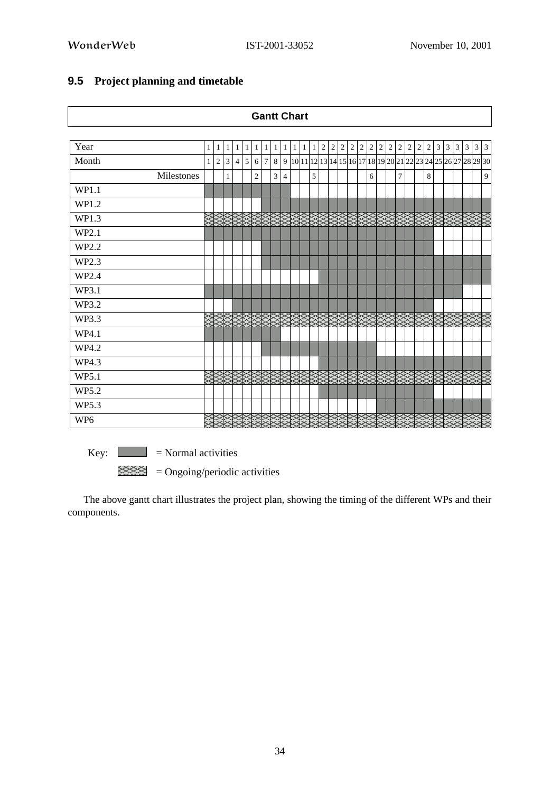$\mathbf{r}$ 

|                 |              |     |                      |                      |            |            | <b>Gantt Chart</b>                                                    |                |            |              |                |       |                                             |  |                |   |         |         |  |       |   |
|-----------------|--------------|-----|----------------------|----------------------|------------|------------|-----------------------------------------------------------------------|----------------|------------|--------------|----------------|-------|---------------------------------------------|--|----------------|---|---------|---------|--|-------|---|
|                 |              |     |                      |                      |            |            |                                                                       |                |            |              |                |       |                                             |  |                |   |         |         |  |       |   |
| Year            | $\mathbf{1}$ | 1 1 |                      | $\mathbf{1}$<br>1    |            | $1 \mid 1$ | $1\vert$                                                              | $\mathbf{1}$   | $1\vert 1$ | $\mathbf{1}$ | $\overline{c}$ | 2 2 2 | 2 2 2 2                                     |  | 2              | 2 | 2 2 3 3 |         |  | 3 3 3 | 3 |
| Month           | $\mathbf{1}$ | 2 3 |                      | 5<br>$\vert 4 \vert$ |            | 6 7        | 8   9  10 11 12 13 14 15 16 17 18 19 20 21 22 23 24 25 26 27 28 29 30 |                |            |              |                |       |                                             |  |                |   |         |         |  |       |   |
| Milestones      |              |     | $\mathbf{1}$         |                      | $\sqrt{2}$ |            | 3                                                                     | $\overline{4}$ |            | 5            |                |       | 6                                           |  | $\overline{7}$ |   |         | $\,8\,$ |  |       | 9 |
| WP1.1           |              |     |                      |                      |            |            |                                                                       |                |            |              |                |       |                                             |  |                |   |         |         |  |       |   |
| WP1.2           |              |     |                      |                      |            |            |                                                                       |                |            |              |                |       |                                             |  |                |   |         |         |  |       |   |
| WP1.3           |              |     | <b>SESSESSESSES</b>  |                      |            |            |                                                                       |                |            |              |                |       | XXXXXXXXXXXXXXXXX<br><u>XXXXXXXXXXXX</u> XX |  |                |   |         |         |  |       |   |
| WP2.1           |              |     |                      |                      |            |            |                                                                       |                |            |              |                |       |                                             |  |                |   |         |         |  |       |   |
| WP2.2           |              |     |                      |                      |            |            |                                                                       |                |            |              |                |       |                                             |  |                |   |         |         |  |       |   |
| WP2.3           |              |     |                      |                      |            |            |                                                                       |                |            |              |                |       |                                             |  |                |   |         |         |  |       |   |
| WP2.4           |              |     |                      |                      |            |            |                                                                       |                |            |              |                |       |                                             |  |                |   |         |         |  |       |   |
| WP3.1           |              |     |                      |                      |            |            |                                                                       |                |            |              |                |       |                                             |  |                |   |         |         |  |       |   |
| WP3.2           |              |     |                      |                      |            |            |                                                                       |                |            |              |                |       |                                             |  |                |   |         |         |  |       |   |
| WP3.3           |              |     | <b>SERIES SERIES</b> |                      |            |            |                                                                       |                |            |              |                |       |                                             |  |                |   |         |         |  |       |   |
| WP4.1           |              |     |                      |                      |            |            |                                                                       |                |            |              |                |       |                                             |  |                |   |         |         |  |       |   |
| WP4.2           |              |     |                      |                      |            |            |                                                                       |                |            |              |                |       |                                             |  |                |   |         |         |  |       |   |
| WP4.3           |              |     |                      |                      |            |            |                                                                       |                |            |              |                |       |                                             |  |                |   |         |         |  |       |   |
| WP5.1           |              |     |                      |                      |            |            |                                                                       |                |            |              |                |       |                                             |  |                |   |         |         |  |       |   |
| WP5.2           |              |     |                      |                      |            |            |                                                                       |                |            |              |                |       |                                             |  |                |   |         |         |  |       |   |
| WP5.3           |              |     |                      |                      |            |            |                                                                       |                |            |              |                |       |                                             |  |                |   |         |         |  |       |   |
| WP <sub>6</sub> |              | ▩   |                      |                      |            |            |                                                                       |                |            |              |                |       |                                             |  |                |   |         |         |  |       |   |

# **9.5 Project planning and timetable**

 $Key:$   $\Box$  = Normal activities

 $\mathbb{R}$  = Ongoing/periodic activities  $\mathbb{R}$  = Ongoing/periodic activities

The above gantt chart illustrates the project plan, showing the timing of the different WPs and their components.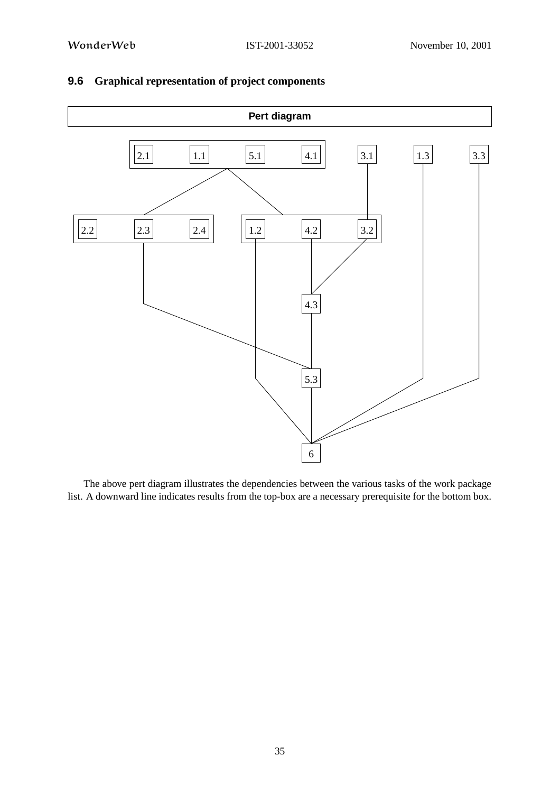

# **9.6 Graphical representation of project components**

The above pert diagram illustrates the dependencies between the various tasks of the work package list. A downward line indicates results from the top-box are a necessary prerequisite for the bottom box.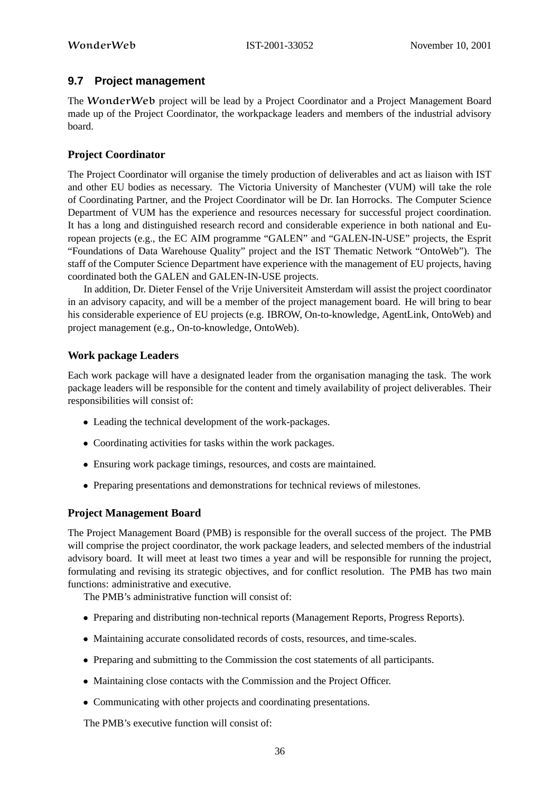# **9.7 Project management**

The WonderWeb project will be lead by a Project Coordinator and a Project Management Board made up of the Project Coordinator, the workpackage leaders and members of the industrial advisory board.

# **Project Coordinator**

The Project Coordinator will organise the timely production of deliverables and act as liaison with IST and other EU bodies as necessary. The Victoria University of Manchester (VUM) will take the role of Coordinating Partner, and the Project Coordinator will be Dr. Ian Horrocks. The Computer Science Department of VUM has the experience and resources necessary for successful project coordination. It has a long and distinguished research record and considerable experience in both national and European projects (e.g., the EC AIM programme "GALEN" and "GALEN-IN-USE" projects, the Esprit "Foundations of Data Warehouse Quality" project and the IST Thematic Network "OntoWeb"). The staff of the Computer Science Department have experience with the management of EU projects, having coordinated both the GALEN and GALEN-IN-USE projects.

In addition, Dr. Dieter Fensel of the Vrije Universiteit Amsterdam will assist the project coordinator in an advisory capacity, and will be a member of the project management board. He will bring to bear his considerable experience of EU projects (e.g. IBROW, On-to-knowledge, AgentLink, OntoWeb) and project management (e.g., On-to-knowledge, OntoWeb).

# **Work package Leaders**

Each work package will have a designated leader from the organisation managing the task. The work package leaders will be responsible for the content and timely availability of project deliverables. Their responsibilities will consist of:

- Leading the technical development of the work-packages.
- Coordinating activities for tasks within the work packages.
- Ensuring work package timings, resources, and costs are maintained.
- Preparing presentations and demonstrations for technical reviews of milestones.

# **Project Management Board**

The Project Management Board (PMB) is responsible for the overall success of the project. The PMB will comprise the project coordinator, the work package leaders, and selected members of the industrial advisory board. It will meet at least two times a year and will be responsible for running the project, formulating and revising its strategic objectives, and for conflict resolution. The PMB has two main functions: administrative and executive.

The PMB's administrative function will consist of:

- Preparing and distributing non-technical reports (Management Reports, Progress Reports).
- Maintaining accurate consolidated records of costs, resources, and time-scales.
- Preparing and submitting to the Commission the cost statements of all participants.
- Maintaining close contacts with the Commission and the Project Officer.
- Communicating with other projects and coordinating presentations.

The PMB's executive function will consist of: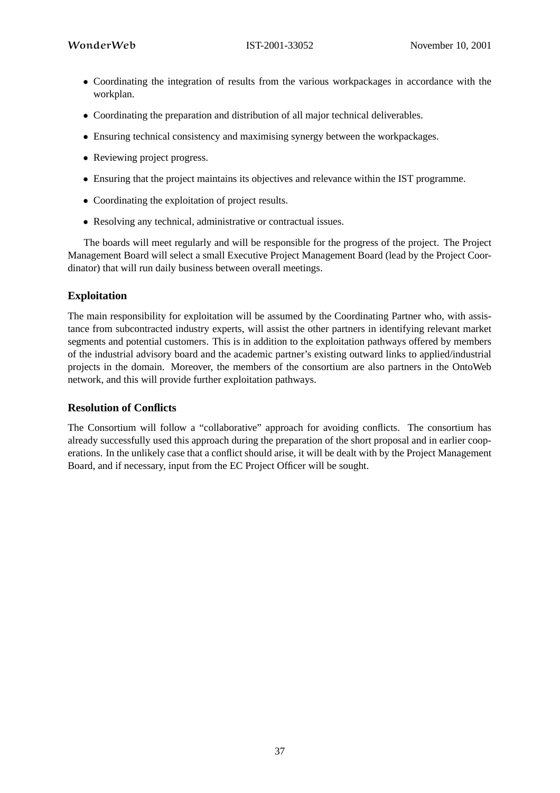- Coordinating the integration of results from the various workpackages in accordance with the workplan.
- Coordinating the preparation and distribution of all major technical deliverables.
- Ensuring technical consistency and maximising synergy between the workpackages.
- Reviewing project progress.
- Ensuring that the project maintains its objectives and relevance within the IST programme.
- Coordinating the exploitation of project results.
- Resolving any technical, administrative or contractual issues.

The boards will meet regularly and will be responsible for the progress of the project. The Project Management Board will select a small Executive Project Management Board (lead by the Project Coordinator) that will run daily business between overall meetings.

# **Exploitation**

The main responsibility for exploitation will be assumed by the Coordinating Partner who, with assistance from subcontracted industry experts, will assist the other partners in identifying relevant market segments and potential customers. This is in addition to the exploitation pathways offered by members of the industrial advisory board and the academic partner's existing outward links to applied/industrial projects in the domain. Moreover, the members of the consortium are also partners in the OntoWeb network, and this will provide further exploitation pathways.

#### **Resolution of Conflicts**

The Consortium will follow a "collaborative" approach for avoiding conflicts. The consortium has already successfully used this approach during the preparation of the short proposal and in earlier cooperations. In the unlikely case that a conflict should arise, it will be dealt with by the Project Management Board, and if necessary, input from the EC Project Officer will be sought.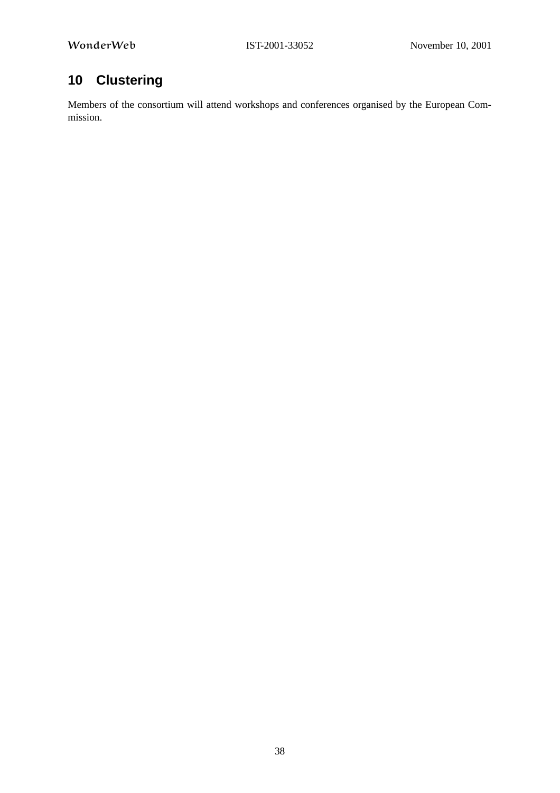# **10 Clustering**

Members of the consortium will attend workshops and conferences organised by the European Commission.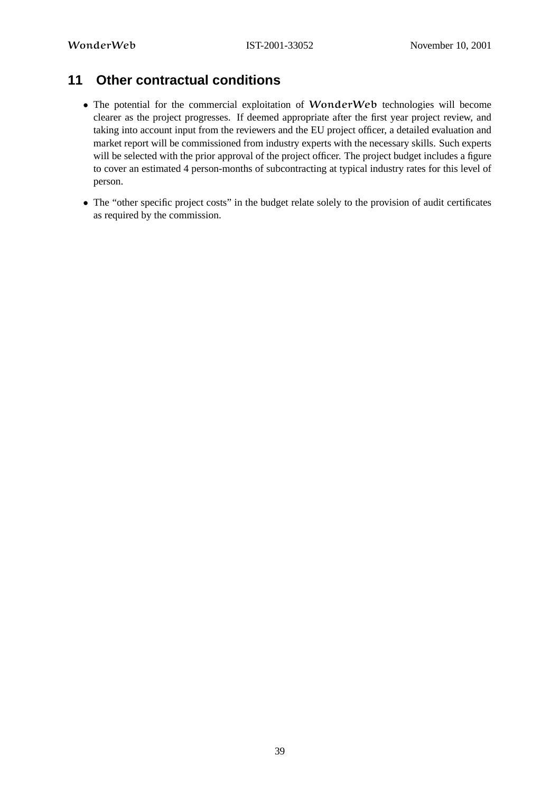# **11 Other contractual conditions**

- The potential for the commercial exploitation of WonderWeb technologies will become clearer as the project progresses. If deemed appropriate after the first year project review, and taking into account input from the reviewers and the EU project officer, a detailed evaluation and market report will be commissioned from industry experts with the necessary skills. Such experts will be selected with the prior approval of the project officer. The project budget includes a figure to cover an estimated 4 person-months of subcontracting at typical industry rates for this level of person.
- The "other specific project costs" in the budget relate solely to the provision of audit certificates as required by the commission.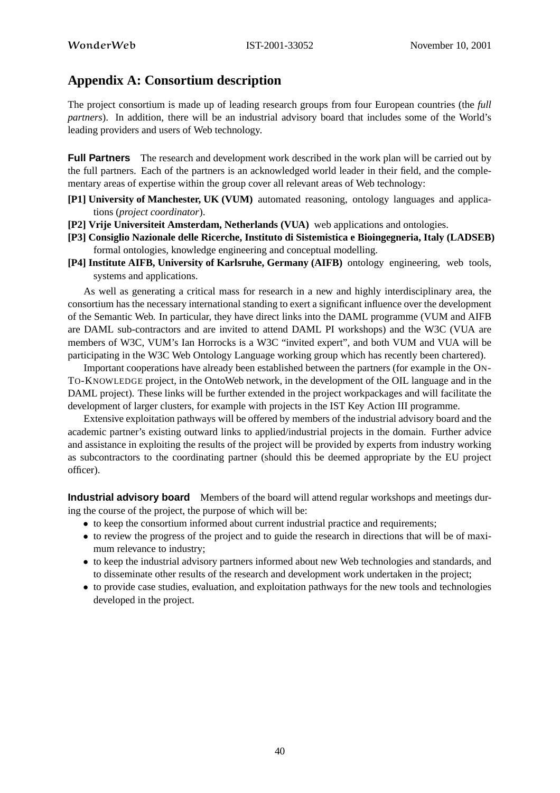# **Appendix A: Consortium description**

The project consortium is made up of leading research groups from four European countries (the *full partners*). In addition, there will be an industrial advisory board that includes some of the World's leading providers and users of Web technology.

**Full Partners** The research and development work described in the work plan will be carried out by the full partners. Each of the partners is an acknowledged world leader in their field, and the complementary areas of expertise within the group cover all relevant areas of Web technology:

- **[P1] University of Manchester, UK (VUM)** automated reasoning, ontology languages and applications (*project coordinator*).
- **[P2] Vrije Universiteit Amsterdam, Netherlands (VUA)** web applications and ontologies.
- **[P3] Consiglio Nazionale delle Ricerche, Instituto di Sistemistica e Bioingegneria, Italy (LADSEB)** formal ontologies, knowledge engineering and conceptual modelling.
- **[P4] Institute AIFB, University of Karlsruhe, Germany (AIFB)** ontology engineering, web tools, systems and applications.

As well as generating a critical mass for research in a new and highly interdisciplinary area, the consortium has the necessary international standing to exert a significant influence over the development of the Semantic Web. In particular, they have direct links into the DAML programme (VUM and AIFB are DAML sub-contractors and are invited to attend DAML PI workshops) and the W3C (VUA are members of W3C, VUM's Ian Horrocks is a W3C "invited expert", and both VUM and VUA will be participating in the W3C Web Ontology Language working group which has recently been chartered).

Important cooperations have already been established between the partners (for example in the ON-TO-KNOWLEDGE project, in the OntoWeb network, in the development of the OIL language and in the DAML project). These links will be further extended in the project workpackages and will facilitate the development of larger clusters, for example with projects in the IST Key Action III programme.

Extensive exploitation pathways will be offered by members of the industrial advisory board and the academic partner's existing outward links to applied/industrial projects in the domain. Further advice and assistance in exploiting the results of the project will be provided by experts from industry working as subcontractors to the coordinating partner (should this be deemed appropriate by the EU project officer).

**Industrial advisory board** Members of the board will attend regular workshops and meetings during the course of the project, the purpose of which will be:

- to keep the consortium informed about current industrial practice and requirements;
- to review the progress of the project and to guide the research in directions that will be of maximum relevance to industry;
- to keep the industrial advisory partners informed about new Web technologies and standards, and to disseminate other results of the research and development work undertaken in the project;
- to provide case studies, evaluation, and exploitation pathways for the new tools and technologies developed in the project.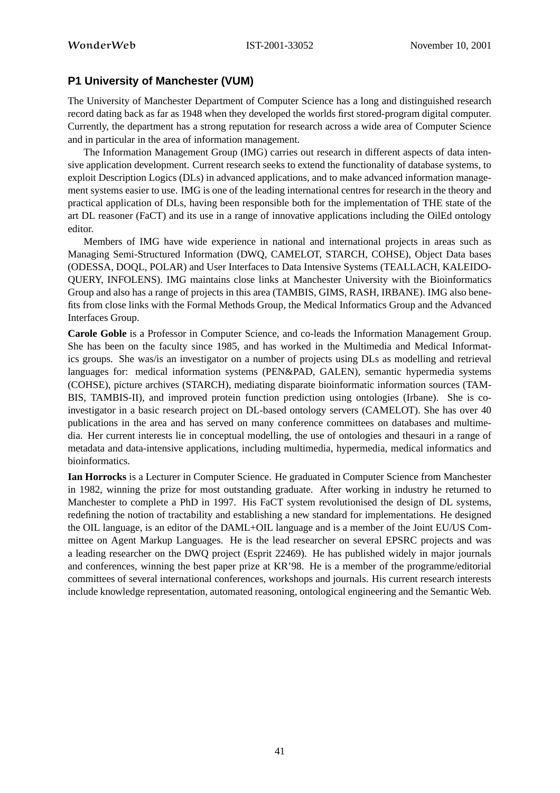# **P1 University of Manchester (VUM)**

The University of Manchester Department of Computer Science has a long and distinguished research record dating back as far as 1948 when they developed the worlds first stored-program digital computer. Currently, the department has a strong reputation for research across a wide area of Computer Science and in particular in the area of information management.

The Information Management Group (IMG) carries out research in different aspects of data intensive application development. Current research seeks to extend the functionality of database systems, to exploit Description Logics (DLs) in advanced applications, and to make advanced information management systems easier to use. IMG is one of the leading international centres for research in the theory and practical application of DLs, having been responsible both for the implementation of THE state of the art DL reasoner (FaCT) and its use in a range of innovative applications including the OilEd ontology editor.

Members of IMG have wide experience in national and international projects in areas such as Managing Semi-Structured Information (DWQ, CAMELOT, STARCH, COHSE), Object Data bases (ODESSA, DOQL, POLAR) and User Interfaces to Data Intensive Systems (TEALLACH, KALEIDO-QUERY, INFOLENS). IMG maintains close links at Manchester University with the Bioinformatics Group and also has a range of projects in this area (TAMBIS, GIMS, RASH, IRBANE). IMG also benefits from close links with the Formal Methods Group, the Medical Informatics Group and the Advanced Interfaces Group.

**Carole Goble** is a Professor in Computer Science, and co-leads the Information Management Group. She has been on the faculty since 1985, and has worked in the Multimedia and Medical Informatics groups. She was/is an investigator on a number of projects using DLs as modelling and retrieval languages for: medical information systems (PEN&PAD, GALEN), semantic hypermedia systems (COHSE), picture archives (STARCH), mediating disparate bioinformatic information sources (TAM-BIS, TAMBIS-II), and improved protein function prediction using ontologies (Irbane). She is coinvestigator in a basic research project on DL-based ontology servers (CAMELOT). She has over 40 publications in the area and has served on many conference committees on databases and multimedia. Her current interests lie in conceptual modelling, the use of ontologies and thesauri in a range of metadata and data-intensive applications, including multimedia, hypermedia, medical informatics and bioinformatics.

**Ian Horrocks** is a Lecturer in Computer Science. He graduated in Computer Science from Manchester in 1982, winning the prize for most outstanding graduate. After working in industry he returned to Manchester to complete a PhD in 1997. His FaCT system revolutionised the design of DL systems, redefining the notion of tractability and establishing a new standard for implementations. He designed the OIL language, is an editor of the DAML+OIL language and is a member of the Joint EU/US Committee on Agent Markup Languages. He is the lead researcher on several EPSRC projects and was a leading researcher on the DWQ project (Esprit 22469). He has published widely in major journals and conferences, winning the best paper prize at KR'98. He is a member of the programme/editorial committees of several international conferences, workshops and journals. His current research interests include knowledge representation, automated reasoning, ontological engineering and the Semantic Web.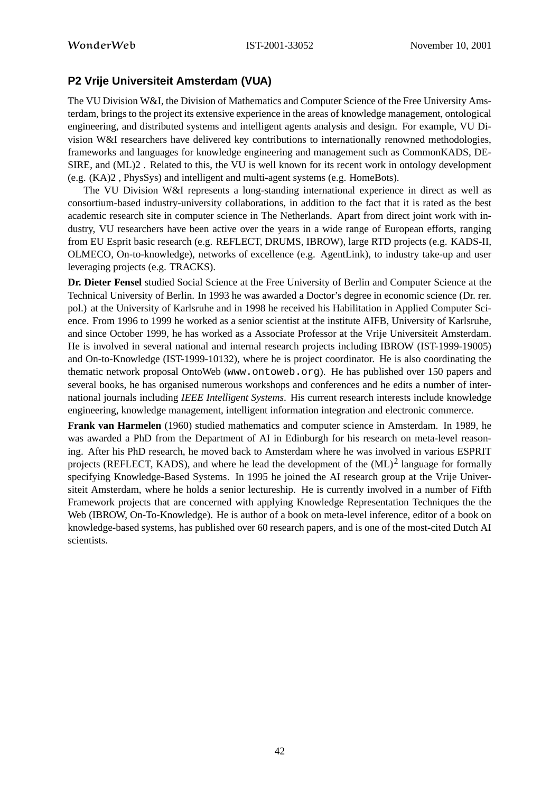# **P2 Vrije Universiteit Amsterdam (VUA)**

The VU Division W&I, the Division of Mathematics and Computer Science of the Free University Amsterdam, brings to the project its extensive experience in the areas of knowledge management, ontological engineering, and distributed systems and intelligent agents analysis and design. For example, VU Division W&I researchers have delivered key contributions to internationally renowned methodologies, frameworks and languages for knowledge engineering and management such as CommonKADS, DE-SIRE, and (ML)2 . Related to this, the VU is well known for its recent work in ontology development (e.g. (KA)2 , PhysSys) and intelligent and multi-agent systems (e.g. HomeBots).

The VU Division W&I represents a long-standing international experience in direct as well as consortium-based industry-university collaborations, in addition to the fact that it is rated as the best academic research site in computer science in The Netherlands. Apart from direct joint work with industry, VU researchers have been active over the years in a wide range of European efforts, ranging from EU Esprit basic research (e.g. REFLECT, DRUMS, IBROW), large RTD projects (e.g. KADS-II, OLMECO, On-to-knowledge), networks of excellence (e.g. AgentLink), to industry take-up and user leveraging projects (e.g. TRACKS).

**Dr. Dieter Fensel** studied Social Science at the Free University of Berlin and Computer Science at the Technical University of Berlin. In 1993 he was awarded a Doctor's degree in economic science (Dr. rer. pol.) at the University of Karlsruhe and in 1998 he received his Habilitation in Applied Computer Science. From 1996 to 1999 he worked as a senior scientist at the institute AIFB, University of Karlsruhe, and since October 1999, he has worked as a Associate Professor at the Vrije Universiteit Amsterdam. He is involved in several national and internal research projects including IBROW (IST-1999-19005) and On-to-Knowledge (IST-1999-10132), where he is project coordinator. He is also coordinating the thematic network proposal OntoWeb (www.ontoweb.org). He has published over 150 papers and several books, he has organised numerous workshops and conferences and he edits a number of international journals including *IEEE Intelligent Systems*. His current research interests include knowledge engineering, knowledge management, intelligent information integration and electronic commerce.

**Frank van Harmelen** (1960) studied mathematics and computer science in Amsterdam. In 1989, he was awarded a PhD from the Department of AI in Edinburgh for his research on meta-level reasoning. After his PhD research, he moved back to Amsterdam where he was involved in various ESPRIT projects (REFLECT, KADS), and where he lead the development of the  $(ML)^2$  language for formally specifying Knowledge-Based Systems. In 1995 he joined the AI research group at the Vrije Universiteit Amsterdam, where he holds a senior lectureship. He is currently involved in a number of Fifth Framework projects that are concerned with applying Knowledge Representation Techniques the the Web (IBROW, On-To-Knowledge). He is author of a book on meta-level inference, editor of a book on knowledge-based systems, has published over 60 research papers, and is one of the most-cited Dutch AI scientists.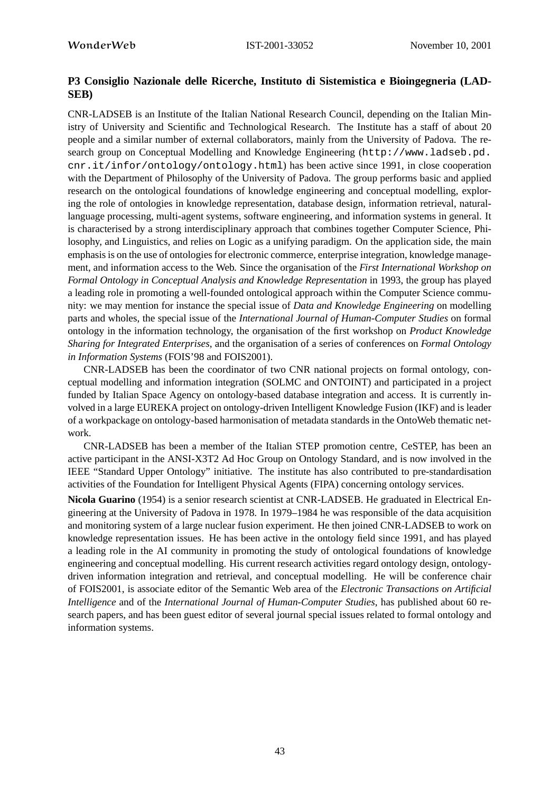# **P3 Consiglio Nazionale delle Ricerche, Instituto di Sistemistica e Bioingegneria (LAD-SEB)**

CNR-LADSEB is an Institute of the Italian National Research Council, depending on the Italian Ministry of University and Scientific and Technological Research. The Institute has a staff of about 20 people and a similar number of external collaborators, mainly from the University of Padova. The research group on Conceptual Modelling and Knowledge Engineering (http://www.ladseb.pd. cnr.it/infor/ontology/ontology.html) has been active since 1991, in close cooperation with the Department of Philosophy of the University of Padova. The group performs basic and applied research on the ontological foundations of knowledge engineering and conceptual modelling, exploring the role of ontologies in knowledge representation, database design, information retrieval, naturallanguage processing, multi-agent systems, software engineering, and information systems in general. It is characterised by a strong interdisciplinary approach that combines together Computer Science, Philosophy, and Linguistics, and relies on Logic as a unifying paradigm. On the application side, the main emphasis is on the use of ontologies for electronic commerce, enterprise integration, knowledge management, and information access to the Web. Since the organisation of the *First International Workshop on Formal Ontology in Conceptual Analysis and Knowledge Representation* in 1993, the group has played a leading role in promoting a well-founded ontological approach within the Computer Science community: we may mention for instance the special issue of *Data and Knowledge Engineering* on modelling parts and wholes, the special issue of the *International Journal of Human-Computer Studies* on formal ontology in the information technology, the organisation of the first workshop on *Product Knowledge Sharing for Integrated Enterprises*, and the organisation of a series of conferences on *Formal Ontology in Information Systems* (FOIS'98 and FOIS2001).

CNR-LADSEB has been the coordinator of two CNR national projects on formal ontology, conceptual modelling and information integration (SOLMC and ONTOINT) and participated in a project funded by Italian Space Agency on ontology-based database integration and access. It is currently involved in a large EUREKA project on ontology-driven Intelligent Knowledge Fusion (IKF) and is leader of a workpackage on ontology-based harmonisation of metadata standards in the OntoWeb thematic network.

CNR-LADSEB has been a member of the Italian STEP promotion centre, CeSTEP, has been an active participant in the ANSI-X3T2 Ad Hoc Group on Ontology Standard, and is now involved in the IEEE "Standard Upper Ontology" initiative. The institute has also contributed to pre-standardisation activities of the Foundation for Intelligent Physical Agents (FIPA) concerning ontology services.

**Nicola Guarino** (1954) is a senior research scientist at CNR-LADSEB. He graduated in Electrical Engineering at the University of Padova in 1978. In 1979–1984 he was responsible of the data acquisition and monitoring system of a large nuclear fusion experiment. He then joined CNR-LADSEB to work on knowledge representation issues. He has been active in the ontology field since 1991, and has played a leading role in the AI community in promoting the study of ontological foundations of knowledge engineering and conceptual modelling. His current research activities regard ontology design, ontologydriven information integration and retrieval, and conceptual modelling. He will be conference chair of FOIS2001, is associate editor of the Semantic Web area of the *Electronic Transactions on Artificial Intelligence* and of the *International Journal of Human-Computer Studies*, has published about 60 research papers, and has been guest editor of several journal special issues related to formal ontology and information systems.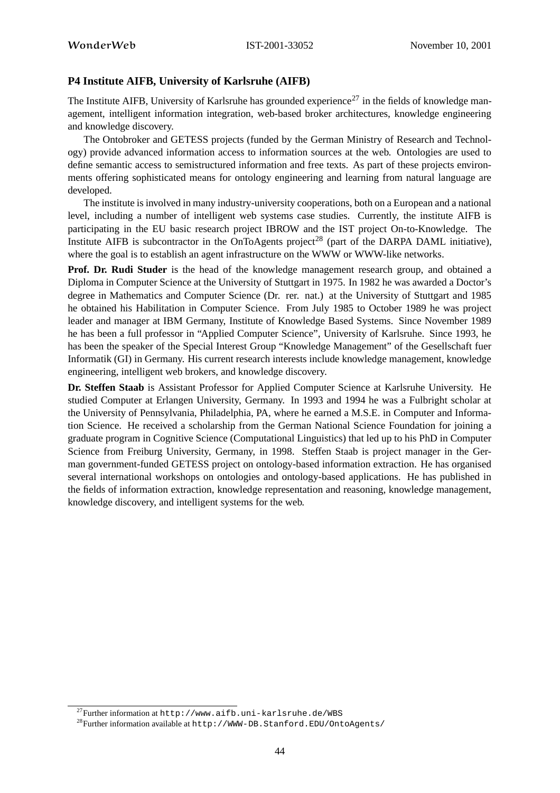# **P4 Institute AIFB, University of Karlsruhe (AIFB)**

The Institute AIFB, University of Karlsruhe has grounded experience<sup>27</sup> in the fields of knowledge management, intelligent information integration, web-based broker architectures, knowledge engineering and knowledge discovery.

The Ontobroker and GETESS projects (funded by the German Ministry of Research and Technology) provide advanced information access to information sources at the web. Ontologies are used to define semantic access to semistructured information and free texts. As part of these projects environments offering sophisticated means for ontology engineering and learning from natural language are developed.

The institute is involved in many industry-university cooperations, both on a European and a national level, including a number of intelligent web systems case studies. Currently, the institute AIFB is participating in the EU basic research project IBROW and the IST project On-to-Knowledge. The Institute AIFB is subcontractor in the OnToAgents project<sup>28</sup> (part of the DARPA DAML initiative), where the goal is to establish an agent infrastructure on the WWW or WWW-like networks.

**Prof. Dr. Rudi Studer** is the head of the knowledge management research group, and obtained a Diploma in Computer Science at the University of Stuttgart in 1975. In 1982 he was awarded a Doctor's degree in Mathematics and Computer Science (Dr. rer. nat.) at the University of Stuttgart and 1985 he obtained his Habilitation in Computer Science. From July 1985 to October 1989 he was project leader and manager at IBM Germany, Institute of Knowledge Based Systems. Since November 1989 he has been a full professor in "Applied Computer Science", University of Karlsruhe. Since 1993, he has been the speaker of the Special Interest Group "Knowledge Management" of the Gesellschaft fuer Informatik (GI) in Germany. His current research interests include knowledge management, knowledge engineering, intelligent web brokers, and knowledge discovery.

**Dr. Steffen Staab** is Assistant Professor for Applied Computer Science at Karlsruhe University. He studied Computer at Erlangen University, Germany. In 1993 and 1994 he was a Fulbright scholar at the University of Pennsylvania, Philadelphia, PA, where he earned a M.S.E. in Computer and Information Science. He received a scholarship from the German National Science Foundation for joining a graduate program in Cognitive Science (Computational Linguistics) that led up to his PhD in Computer Science from Freiburg University, Germany, in 1998. Steffen Staab is project manager in the German government-funded GETESS project on ontology-based information extraction. He has organised several international workshops on ontologies and ontology-based applications. He has published in the fields of information extraction, knowledge representation and reasoning, knowledge management, knowledge discovery, and intelligent systems for the web.

 $27$ Further information at http://www.aifb.uni-karlsruhe.de/WBS

<sup>28</sup>Further information available at http://WWW-DB.Stanford.EDU/OntoAgents/